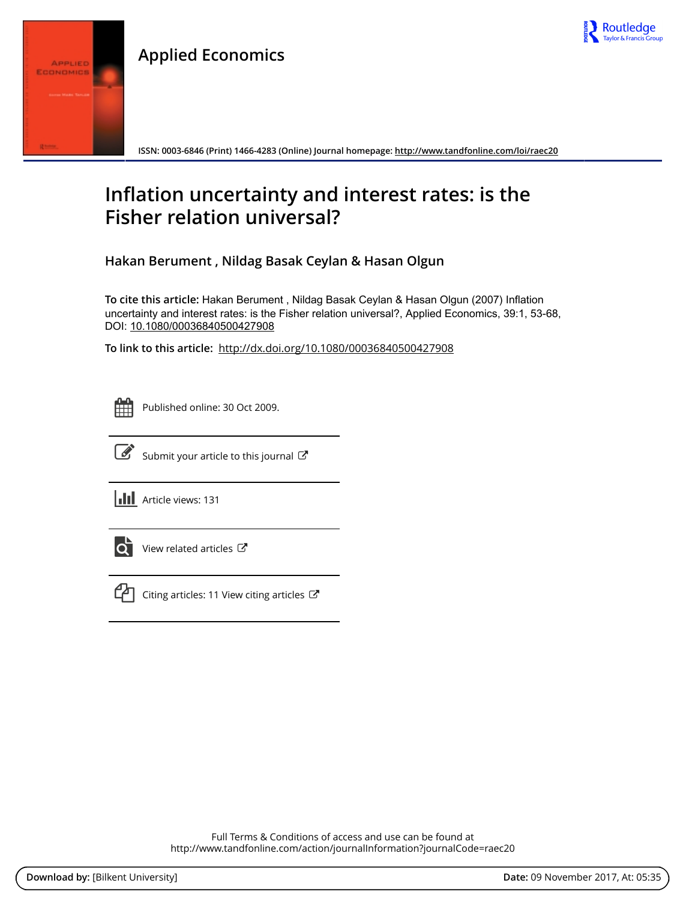

# **Applied Economics**



**ISSN: 0003-6846 (Print) 1466-4283 (Online) Journal homepage:<http://www.tandfonline.com/loi/raec20>**

# **Inflation uncertainty and interest rates: is the Fisher relation universal?**

**Hakan Berument , Nildag Basak Ceylan & Hasan Olgun**

**To cite this article:** Hakan Berument , Nildag Basak Ceylan & Hasan Olgun (2007) Inflation uncertainty and interest rates: is the Fisher relation universal?, Applied Economics, 39:1, 53-68, DOI: [10.1080/00036840500427908](http://www.tandfonline.com/action/showCitFormats?doi=10.1080/00036840500427908)

**To link to this article:** <http://dx.doi.org/10.1080/00036840500427908>

|  | -- | - |  |
|--|----|---|--|
|  |    |   |  |
|  |    |   |  |
|  |    |   |  |

Published online: 30 Oct 2009.



 $\overrightarrow{S}$  [Submit your article to this journal](http://www.tandfonline.com/action/authorSubmission?journalCode=raec20&show=instructions)  $\overrightarrow{S}$ 

**III** Article views: 131



 $\overline{Q}$  [View related articles](http://www.tandfonline.com/doi/mlt/10.1080/00036840500427908)  $\overline{C}$ 



 $\mathbb{C}$  [Citing articles: 11 View citing articles](http://www.tandfonline.com/doi/citedby/10.1080/00036840500427908#tabModule)  $\mathbb{C}$ 

Full Terms & Conditions of access and use can be found at <http://www.tandfonline.com/action/journalInformation?journalCode=raec20>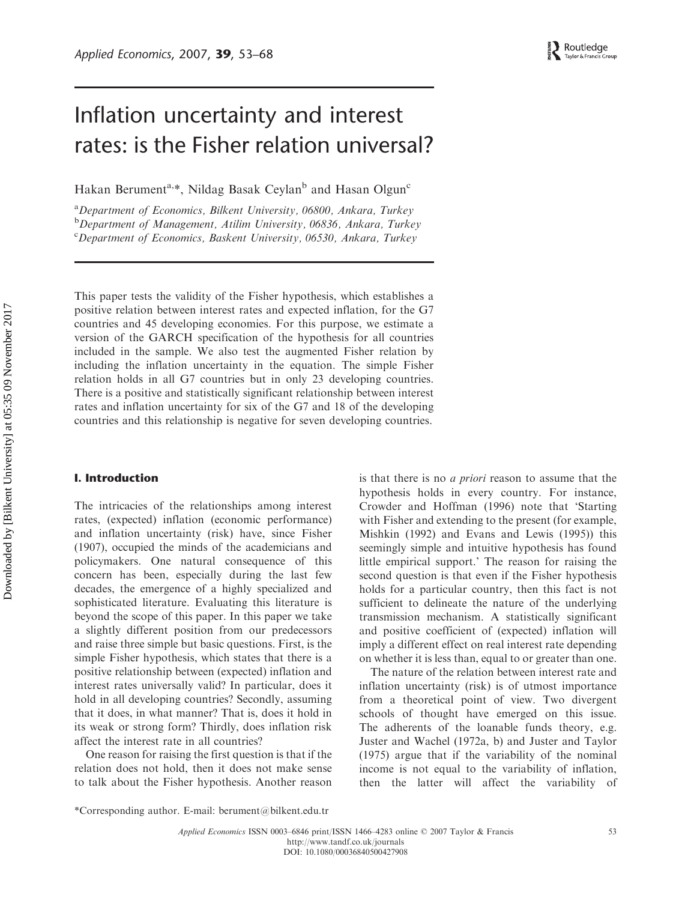# Inflation uncertainty and interest rates: is the Fisher relation universal?

Hakan Berument<sup>a,\*</sup>, Nildag Basak Ceylan<sup>b</sup> and Hasan Olgun<sup>c</sup>

<sup>a</sup>Department of Economics, Bilkent University, 06800, Ankara, Turkey <sup>b</sup>Department of Management, Atilim University, 06836, Ankara, Turkey

<sup>c</sup>Department of Economics, Baskent University, 06530, Ankara, Turkey

This paper tests the validity of the Fisher hypothesis, which establishes a positive relation between interest rates and expected inflation, for the G7 countries and 45 developing economies. For this purpose, we estimate a version of the GARCH specification of the hypothesis for all countries included in the sample. We also test the augmented Fisher relation by including the inflation uncertainty in the equation. The simple Fisher relation holds in all G7 countries but in only 23 developing countries. There is a positive and statistically significant relationship between interest rates and inflation uncertainty for six of the G7 and 18 of the developing countries and this relationship is negative for seven developing countries.

# I. Introduction

The intricacies of the relationships among interest rates, (expected) inflation (economic performance) and inflation uncertainty (risk) have, since Fisher (1907), occupied the minds of the academicians and policymakers. One natural consequence of this concern has been, especially during the last few decades, the emergence of a highly specialized and sophisticated literature. Evaluating this literature is beyond the scope of this paper. In this paper we take a slightly different position from our predecessors and raise three simple but basic questions. First, is the simple Fisher hypothesis, which states that there is a positive relationship between (expected) inflation and interest rates universally valid? In particular, does it hold in all developing countries? Secondly, assuming that it does, in what manner? That is, does it hold in its weak or strong form? Thirdly, does inflation risk affect the interest rate in all countries?

One reason for raising the first question is that if the relation does not hold, then it does not make sense to talk about the Fisher hypothesis. Another reason is that there is no a priori reason to assume that the hypothesis holds in every country. For instance, Crowder and Hoffman (1996) note that 'Starting with Fisher and extending to the present (for example, Mishkin (1992) and Evans and Lewis (1995)) this seemingly simple and intuitive hypothesis has found little empirical support.' The reason for raising the second question is that even if the Fisher hypothesis holds for a particular country, then this fact is not sufficient to delineate the nature of the underlying transmission mechanism. A statistically significant and positive coefficient of (expected) inflation will imply a different effect on real interest rate depending on whether it is less than, equal to or greater than one.

The nature of the relation between interest rate and inflation uncertainty (risk) is of utmost importance from a theoretical point of view. Two divergent schools of thought have emerged on this issue. The adherents of the loanable funds theory, e.g. Juster and Wachel (1972a, b) and Juster and Taylor (1975) argue that if the variability of the nominal income is not equal to the variability of inflation, then the latter will affect the variability of

Downloaded by [Bilkent University] at 05:35 09 November 2017

Downloaded by [Bilkent University] at 05:35 09 November 2017

<sup>\*</sup>Corresponding author. E-mail: berument@bilkent.edu.tr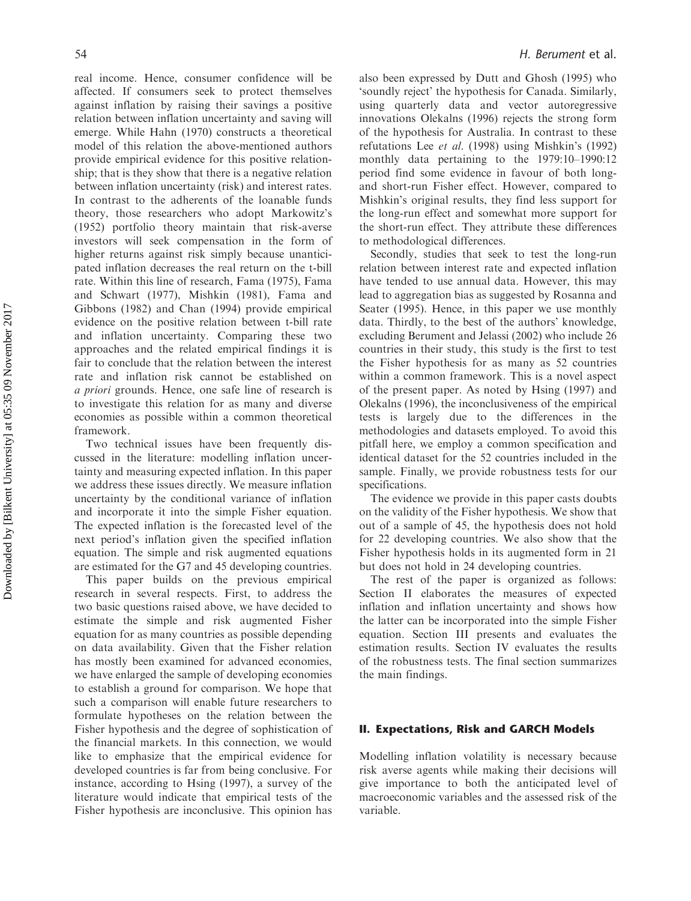real income. Hence, consumer confidence will be affected. If consumers seek to protect themselves against inflation by raising their savings a positive relation between inflation uncertainty and saving will emerge. While Hahn (1970) constructs a theoretical model of this relation the above-mentioned authors provide empirical evidence for this positive relationship; that is they show that there is a negative relation between inflation uncertainty (risk) and interest rates. In contrast to the adherents of the loanable funds theory, those researchers who adopt Markowitz's (1952) portfolio theory maintain that risk-averse investors will seek compensation in the form of higher returns against risk simply because unanticipated inflation decreases the real return on the t-bill rate. Within this line of research, Fama (1975), Fama and Schwart (1977), Mishkin (1981), Fama and Gibbons (1982) and Chan (1994) provide empirical evidence on the positive relation between t-bill rate and inflation uncertainty. Comparing these two approaches and the related empirical findings it is fair to conclude that the relation between the interest rate and inflation risk cannot be established on a priori grounds. Hence, one safe line of research is to investigate this relation for as many and diverse economies as possible within a common theoretical framework.

Two technical issues have been frequently discussed in the literature: modelling inflation uncertainty and measuring expected inflation. In this paper we address these issues directly. We measure inflation uncertainty by the conditional variance of inflation and incorporate it into the simple Fisher equation. The expected inflation is the forecasted level of the next period's inflation given the specified inflation equation. The simple and risk augmented equations are estimated for the G7 and 45 developing countries.

This paper builds on the previous empirical research in several respects. First, to address the two basic questions raised above, we have decided to estimate the simple and risk augmented Fisher equation for as many countries as possible depending on data availability. Given that the Fisher relation has mostly been examined for advanced economies, we have enlarged the sample of developing economies to establish a ground for comparison. We hope that such a comparison will enable future researchers to formulate hypotheses on the relation between the Fisher hypothesis and the degree of sophistication of the financial markets. In this connection, we would like to emphasize that the empirical evidence for developed countries is far from being conclusive. For instance, according to Hsing (1997), a survey of the literature would indicate that empirical tests of the Fisher hypothesis are inconclusive. This opinion has also been expressed by Dutt and Ghosh (1995) who 'soundly reject' the hypothesis for Canada. Similarly, using quarterly data and vector autoregressive innovations Olekalns (1996) rejects the strong form of the hypothesis for Australia. In contrast to these refutations Lee et al. (1998) using Mishkin's (1992) monthly data pertaining to the 1979:10–1990:12 period find some evidence in favour of both longand short-run Fisher effect. However, compared to Mishkin's original results, they find less support for the long-run effect and somewhat more support for the short-run effect. They attribute these differences to methodological differences.

Secondly, studies that seek to test the long-run relation between interest rate and expected inflation have tended to use annual data. However, this may lead to aggregation bias as suggested by Rosanna and Seater (1995). Hence, in this paper we use monthly data. Thirdly, to the best of the authors' knowledge, excluding Berument and Jelassi (2002) who include 26 countries in their study, this study is the first to test the Fisher hypothesis for as many as 52 countries within a common framework. This is a novel aspect of the present paper. As noted by Hsing (1997) and Olekalns (1996), the inconclusiveness of the empirical tests is largely due to the differences in the methodologies and datasets employed. To avoid this pitfall here, we employ a common specification and identical dataset for the 52 countries included in the sample. Finally, we provide robustness tests for our specifications.

The evidence we provide in this paper casts doubts on the validity of the Fisher hypothesis. We show that out of a sample of 45, the hypothesis does not hold for 22 developing countries. We also show that the Fisher hypothesis holds in its augmented form in 21 but does not hold in 24 developing countries.

The rest of the paper is organized as follows: Section II elaborates the measures of expected inflation and inflation uncertainty and shows how the latter can be incorporated into the simple Fisher equation. Section III presents and evaluates the estimation results. Section IV evaluates the results of the robustness tests. The final section summarizes the main findings.

# II. Expectations, Risk and GARCH Models

Modelling inflation volatility is necessary because risk averse agents while making their decisions will give importance to both the anticipated level of macroeconomic variables and the assessed risk of the variable.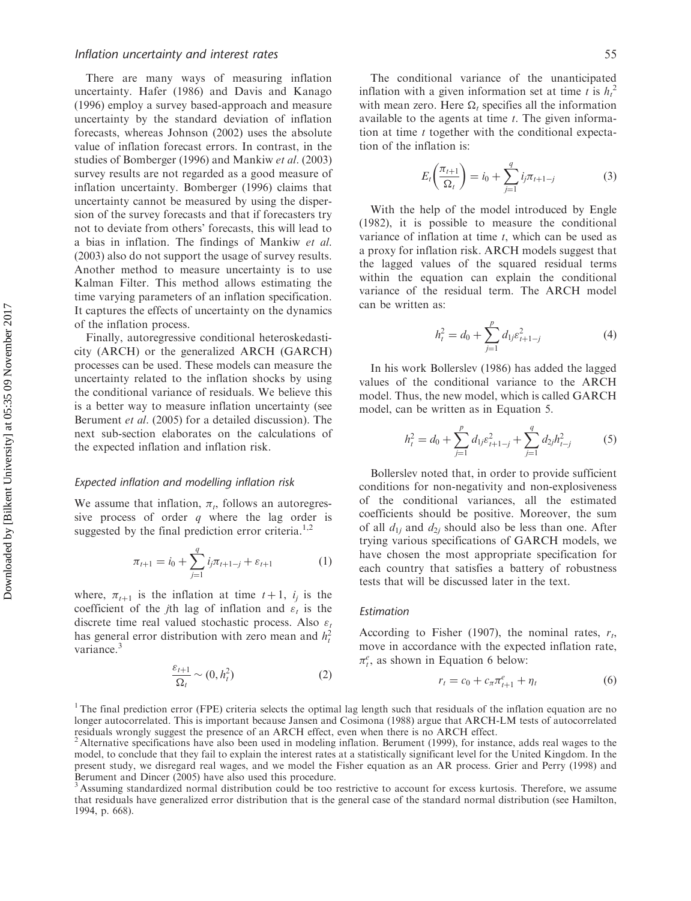# Inflation uncertainty and interest rates 55

There are many ways of measuring inflation uncertainty. Hafer (1986) and Davis and Kanago (1996) employ a survey based-approach and measure uncertainty by the standard deviation of inflation forecasts, whereas Johnson (2002) uses the absolute value of inflation forecast errors. In contrast, in the studies of Bomberger (1996) and Mankiw et al. (2003) survey results are not regarded as a good measure of inflation uncertainty. Bomberger (1996) claims that uncertainty cannot be measured by using the dispersion of the survey forecasts and that if forecasters try not to deviate from others' forecasts, this will lead to a bias in inflation. The findings of Mankiw et al. (2003) also do not support the usage of survey results. Another method to measure uncertainty is to use Kalman Filter. This method allows estimating the time varying parameters of an inflation specification. It captures the effects of uncertainty on the dynamics of the inflation process.

Finally, autoregressive conditional heteroskedasticity (ARCH) or the generalized ARCH (GARCH) processes can be used. These models can measure the uncertainty related to the inflation shocks by using the conditional variance of residuals. We believe this is a better way to measure inflation uncertainty (see Berument et al. (2005) for a detailed discussion). The next sub-section elaborates on the calculations of the expected inflation and inflation risk.

#### Expected inflation and modelling inflation risk

We assume that inflation,  $\pi_t$ , follows an autoregressive process of order  $q$  where the lag order is suggested by the final prediction error criteria.<sup>1,2</sup>

$$
\pi_{t+1} = i_0 + \sum_{j=1}^q i_j \pi_{t+1-j} + \varepsilon_{t+1} \tag{1}
$$

where,  $\pi_{t+1}$  is the inflation at time  $t+1$ ,  $i_j$  is the coefficient of the jth lag of inflation and  $\varepsilon_t$  is the discrete time real valued stochastic process. Also  $\varepsilon_t$ has general error distribution with zero mean and  $h_t^2$ variance.<sup>3</sup>

$$
\frac{\varepsilon_{t+1}}{\Omega_t} \sim (0, h_t^2) \tag{2}
$$

The conditional variance of the unanticipated inflation with a given information set at time t is  $h_t^2$ with mean zero. Here  $\Omega_t$  specifies all the information available to the agents at time  $t$ . The given information at time  $t$  together with the conditional expectation of the inflation is:

$$
E_t\left(\frac{\pi_{t+1}}{\Omega_t}\right) = i_0 + \sum_{j=1}^q i_j \pi_{t+1-j}
$$
 (3)

With the help of the model introduced by Engle (1982), it is possible to measure the conditional variance of inflation at time  $t$ , which can be used as a proxy for inflation risk. ARCH models suggest that the lagged values of the squared residual terms within the equation can explain the conditional variance of the residual term. The ARCH model can be written as:

$$
h_t^2 = d_0 + \sum_{j=1}^p d_{1j} \varepsilon_{t+1-j}^2
$$
 (4)

In his work Bollerslev (1986) has added the lagged values of the conditional variance to the ARCH model. Thus, the new model, which is called GARCH model, can be written as in Equation 5.

$$
h_t^2 = d_0 + \sum_{j=1}^p d_{1j} \varepsilon_{t+1-j}^2 + \sum_{j=1}^q d_{2j} h_{t-j}^2 \tag{5}
$$

Bollerslev noted that, in order to provide sufficient conditions for non-negativity and non-explosiveness of the conditional variances, all the estimated coefficients should be positive. Moreover, the sum of all  $d_{1j}$  and  $d_{2j}$  should also be less than one. After trying various specifications of GARCH models, we have chosen the most appropriate specification for each country that satisfies a battery of robustness tests that will be discussed later in the text.

#### Estimation

According to Fisher (1907), the nominal rates,  $r_t$ , move in accordance with the expected inflation rate,  $\pi_t^e$ , as shown in Equation 6 below:

$$
r_t = c_0 + c_\pi \pi_{t+1}^e + \eta_t \tag{6}
$$

<sup>1</sup>The final prediction error (FPE) criteria selects the optimal lag length such that residuals of the inflation equation are no longer autocorrelated. This is important because Jansen and Cosimona (1988) argue that ARCH-LM tests of autocorrelated residuals wrongly suggest the presence of an ARCH effect, even when there is no ARCH effect.

 $<sup>2</sup>$  Alternative specifications have also been used in modeling inflation. Berument (1999), for instance, adds real wages to the</sup> model, to conclude that they fail to explain the interest rates at a statistically significant level for the United Kingdom. In the present study, we disregard real wages, and we model the Fisher equation as an AR process. Grier and Perry (1998) and Berument and Dincer (2005) have also used this procedure.

<sup>3</sup> Assuming standardized normal distribution could be too restrictive to account for excess kurtosis. Therefore, we assume that residuals have generalized error distribution that is the general case of the standard normal distribution (see Hamilton, 1994, p. 668).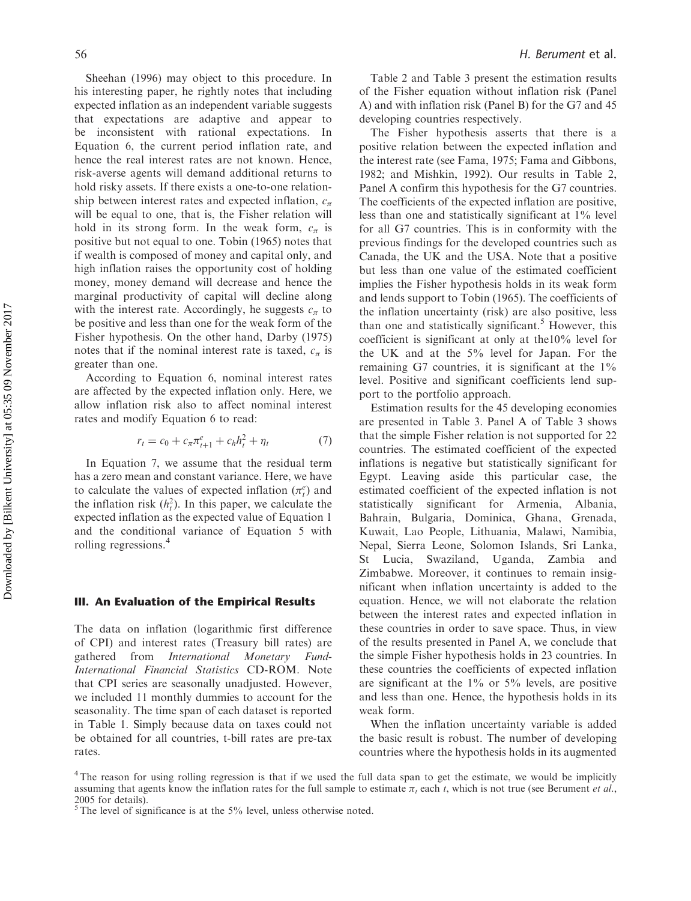Sheehan (1996) may object to this procedure. In his interesting paper, he rightly notes that including expected inflation as an independent variable suggests that expectations are adaptive and appear to be inconsistent with rational expectations. In Equation 6, the current period inflation rate, and hence the real interest rates are not known. Hence, risk-averse agents will demand additional returns to hold risky assets. If there exists a one-to-one relationship between interest rates and expected inflation,  $c_{\pi}$ will be equal to one, that is, the Fisher relation will hold in its strong form. In the weak form,  $c_{\pi}$  is positive but not equal to one. Tobin (1965) notes that if wealth is composed of money and capital only, and high inflation raises the opportunity cost of holding money, money demand will decrease and hence the marginal productivity of capital will decline along with the interest rate. Accordingly, he suggests  $c_{\pi}$  to be positive and less than one for the weak form of the Fisher hypothesis. On the other hand, Darby (1975) notes that if the nominal interest rate is taxed,  $c_{\pi}$  is greater than one.

According to Equation 6, nominal interest rates are affected by the expected inflation only. Here, we allow inflation risk also to affect nominal interest rates and modify Equation 6 to read:

$$
r_t = c_0 + c_\pi \pi_{t+1}^e + c_h h_t^2 + \eta_t \tag{7}
$$

In Equation 7, we assume that the residual term has a zero mean and constant variance. Here, we have to calculate the values of expected inflation  $(\pi_t^e)$  and the inflation risk  $(h_t^2)$ . In this paper, we calculate the expected inflation as the expected value of Equation 1 and the conditional variance of Equation 5 with rolling regressions.<sup>4</sup>

## III. An Evaluation of the Empirical Results

The data on inflation (logarithmic first difference of CPI) and interest rates (Treasury bill rates) are gathered from International Monetary Fund-International Financial Statistics CD-ROM. Note that CPI series are seasonally unadjusted. However, we included 11 monthly dummies to account for the seasonality. The time span of each dataset is reported in Table 1. Simply because data on taxes could not be obtained for all countries, t-bill rates are pre-tax rates.

Table 2 and Table 3 present the estimation results of the Fisher equation without inflation risk (Panel A) and with inflation risk (Panel B) for the G7 and 45 developing countries respectively.

The Fisher hypothesis asserts that there is a positive relation between the expected inflation and the interest rate (see Fama, 1975; Fama and Gibbons, 1982; and Mishkin, 1992). Our results in Table 2, Panel A confirm this hypothesis for the G7 countries. The coefficients of the expected inflation are positive, less than one and statistically significant at 1% level for all G7 countries. This is in conformity with the previous findings for the developed countries such as Canada, the UK and the USA. Note that a positive but less than one value of the estimated coefficient implies the Fisher hypothesis holds in its weak form and lends support to Tobin (1965). The coefficients of the inflation uncertainty (risk) are also positive, less than one and statistically significant.<sup>5</sup> However, this coefficient is significant at only at the10% level for the UK and at the 5% level for Japan. For the remaining G7 countries, it is significant at the 1% level. Positive and significant coefficients lend support to the portfolio approach.

Estimation results for the 45 developing economies are presented in Table 3. Panel A of Table 3 shows that the simple Fisher relation is not supported for 22 countries. The estimated coefficient of the expected inflations is negative but statistically significant for Egypt. Leaving aside this particular case, the estimated coefficient of the expected inflation is not statistically significant for Armenia, Albania, Bahrain, Bulgaria, Dominica, Ghana, Grenada, Kuwait, Lao People, Lithuania, Malawi, Namibia, Nepal, Sierra Leone, Solomon Islands, Sri Lanka, St Lucia, Swaziland, Uganda, Zambia and Zimbabwe. Moreover, it continues to remain insignificant when inflation uncertainty is added to the equation. Hence, we will not elaborate the relation between the interest rates and expected inflation in these countries in order to save space. Thus, in view of the results presented in Panel A, we conclude that the simple Fisher hypothesis holds in 23 countries. In these countries the coefficients of expected inflation are significant at the 1% or 5% levels, are positive and less than one. Hence, the hypothesis holds in its weak form.

When the inflation uncertainty variable is added the basic result is robust. The number of developing countries where the hypothesis holds in its augmented

<sup>&</sup>lt;sup>4</sup>The reason for using rolling regression is that if we used the full data span to get the estimate, we would be implicitly assuming that agents know the inflation rates for the full sample to estimate  $\pi_t$  each t, which is not true (see Berument *et al.*, 2005 for details).

 $5\%$  The level of significance is at the 5% level, unless otherwise noted.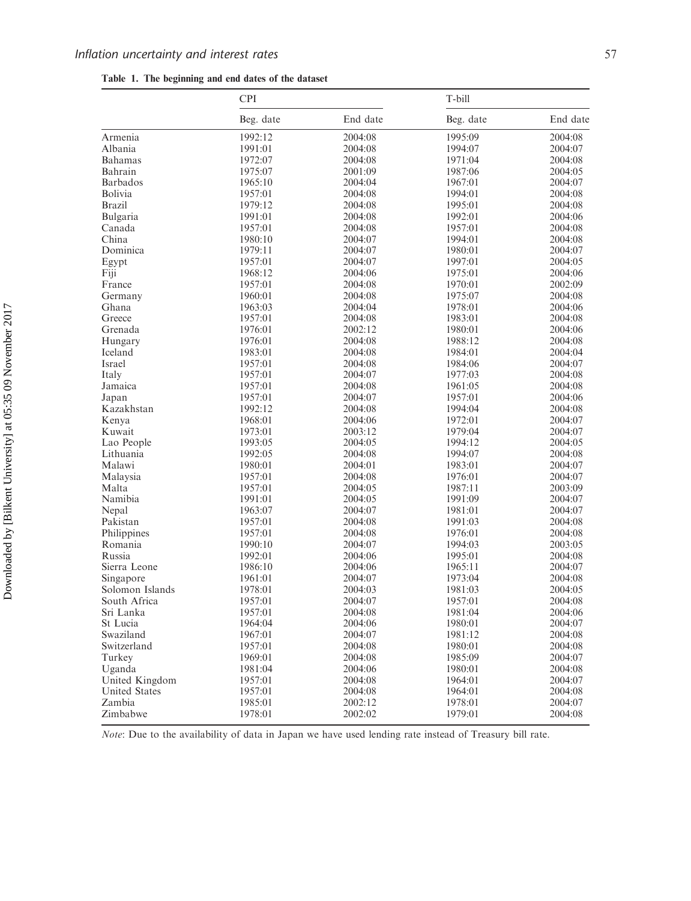|  |  |  | Table 1. The beginning and end dates of the dataset |  |  |  |  |  |  |
|--|--|--|-----------------------------------------------------|--|--|--|--|--|--|
|--|--|--|-----------------------------------------------------|--|--|--|--|--|--|

|                              | <b>CPI</b> |                    | T-bill    |          |
|------------------------------|------------|--------------------|-----------|----------|
|                              | Beg. date  | End date           | Beg. date | End date |
| Armenia                      | 1992:12    | 2004:08            | 1995:09   | 2004:08  |
| Albania                      | 1991:01    | 2004:08            | 1994:07   | 2004:07  |
| <b>Bahamas</b>               | 1972:07    | 2004:08            | 1971:04   | 2004:08  |
| Bahrain                      | 1975:07    | 2001:09            | 1987:06   | 2004:05  |
| Barbados                     | 1965:10    | 2004:04            | 1967:01   | 2004:07  |
| Bolivia                      | 1957:01    | 2004:08            | 1994:01   | 2004:08  |
| <b>Brazil</b>                | 1979:12    | 2004:08            | 1995:01   | 2004:08  |
| Bulgaria                     | 1991:01    | 2004:08            | 1992:01   | 2004:06  |
| Canada                       | 1957:01    | 2004:08            | 1957:01   | 2004:08  |
| China                        | 1980:10    | 2004:07            | 1994:01   | 2004:08  |
| Dominica                     | 1979:11    | 2004:07            | 1980:01   | 2004:07  |
| Egypt                        | 1957:01    | 2004:07            | 1997:01   | 2004:05  |
| Fiji                         | 1968:12    | 2004:06            | 1975:01   | 2004:06  |
| France                       | 1957:01    | 2004:08            | 1970:01   | 2002:09  |
| Germany                      | 1960:01    | 2004:08            | 1975:07   | 2004:08  |
| Ghana                        | 1963:03    | 2004:04            | 1978:01   | 2004:06  |
| Greece                       | 1957:01    | 2004:08            | 1983:01   | 2004:08  |
| Grenada                      | 1976:01    | 2002:12            | 1980:01   | 2004:06  |
| Hungary                      | 1976:01    | 2004:08            | 1988:12   | 2004:08  |
| Iceland                      | 1983:01    | 2004:08            | 1984:01   | 2004:04  |
| Israel                       | 1957:01    | 2004:08            | 1984:06   | 2004:07  |
| Italy                        | 1957:01    | 2004:07            | 1977:03   | 2004:08  |
| Jamaica                      | 1957:01    | 2004:08            | 1961:05   | 2004:08  |
| Japan                        | 1957:01    | 2004:07            | 1957:01   | 2004:06  |
| Kazakhstan                   | 1992:12    | 2004:08            | 1994:04   | 2004:08  |
| Kenya                        | 1968:01    | 2004:06            | 1972:01   | 2004:07  |
| Kuwait                       | 1973:01    | 2003:12            | 1979:04   | 2004:07  |
| Lao People                   | 1993:05    | 2004:05            | 1994:12   | 2004:05  |
| Lithuania                    | 1992:05    | 2004:08            | 1994:07   | 2004:08  |
| Malawi                       | 1980:01    | 2004:01            | 1983:01   | 2004:07  |
| Malaysia                     | 1957:01    | 2004:08            | 1976:01   | 2004:07  |
| Malta                        | 1957:01    | 2004:05            | 1987:11   | 2003:09  |
| Namibia                      | 1991:01    | 2004:05            | 1991:09   | 2004:07  |
| Nepal                        | 1963:07    | 2004:07            | 1981:01   | 2004:07  |
| Pakistan                     | 1957:01    | 2004:08            | 1991:03   | 2004:08  |
| Philippines                  | 1957:01    | 2004:08            | 1976:01   | 2004:08  |
| Romania                      | 1990:10    | 2004:07            | 1994:03   | 2003:05  |
| Russia                       | 1992:01    |                    | 1995:01   |          |
|                              |            | 2004:06<br>2004:06 |           | 2004:08  |
| Sierra Leone                 | 1986:10    |                    | 1965:11   | 2004:07  |
| Singapore<br>Solomon Islands | 1961:01    | 2004:07            | 1973:04   | 2004:08  |
|                              | 1978:01    | 2004:03            | 1981:03   | 2004:05  |
| South Africa                 | 1957:01    | 2004:07            | 1957:01   | 2004:08  |
| Sri Lanka                    | 1957:01    | 2004:08            | 1981:04   | 2004:06  |
| St Lucia                     | 1964:04    | 2004:06            | 1980:01   | 2004:07  |
| Swaziland                    | 1967:01    | 2004:07            | 1981:12   | 2004:08  |
| Switzerland                  | 1957:01    | 2004:08            | 1980:01   | 2004:08  |
| Turkey                       | 1969:01    | 2004:08            | 1985:09   | 2004:07  |
| Uganda                       | 1981:04    | 2004:06            | 1980:01   | 2004:08  |
| United Kingdom               | 1957:01    | 2004:08            | 1964:01   | 2004:07  |
| <b>United States</b>         | 1957:01    | 2004:08            | 1964:01   | 2004:08  |
| Zambia                       | 1985:01    | 2002:12            | 1978:01   | 2004:07  |
| Zimbabwe                     | 1978:01    | 2002:02            | 1979:01   | 2004:08  |

Note: Due to the availability of data in Japan we have used lending rate instead of Treasury bill rate.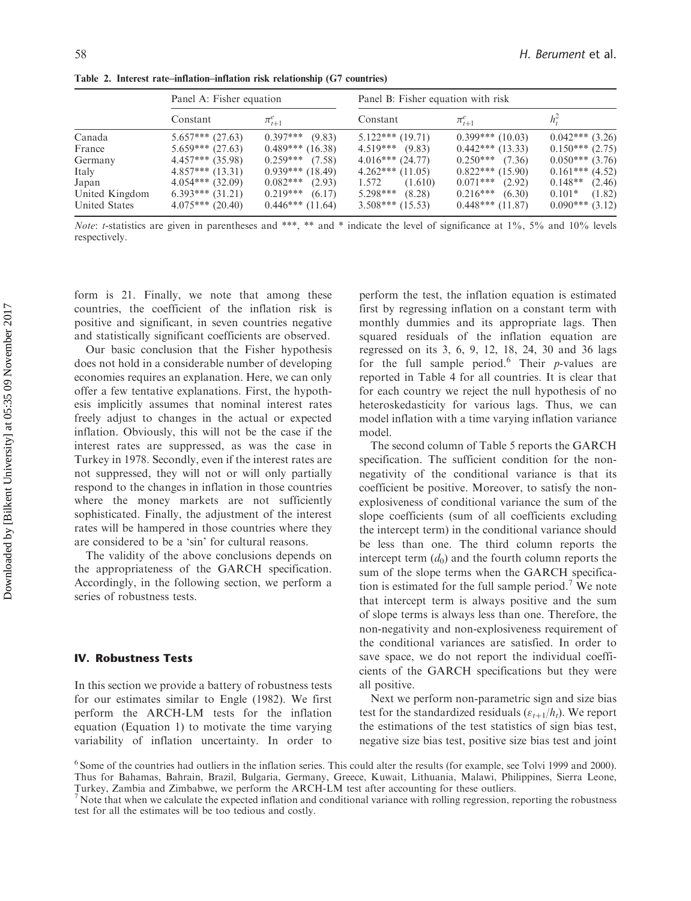|                | Panel A: Fisher equation |                        | Panel B: Fisher equation with risk |                      |                     |
|----------------|--------------------------|------------------------|------------------------------------|----------------------|---------------------|
|                | Constant                 | $\pi_{t+1}^{\epsilon}$ | Constant                           | $\pi^e_{t+1}$        |                     |
| Canada         | $5.657***$ (27.63)       | $0.397***$<br>(9.83)   | $5.122***(19.71)$                  | $0.399***$ (10.03)   | $0.042***$ (3.26)   |
| France         | $5.659***$ (27.63)       | $0.489***$ (16.38)     | $4.519***$<br>(9.83)               | $0.442***$ (13.33)   | $0.150***$ (2.75)   |
| Germany        | $4.457***$ (35.98)       | $0.259***$<br>(7.58)   | $4.016***$ (24.77)                 | $0.250***$<br>(7.36) | $0.050***$ (3.76)   |
| Italy          | $4.857***$ (13.31)       | $0.939***$ (18.49)     | $4.262***(11.05)$                  | $0.822***$ (15.90)   | $0.161***$ (4.52)   |
| Japan          | $4.054***$ (32.09)       | $0.082***$<br>(2.93)   | 1.572<br>(1.610)                   | $0.071***$<br>(2.92) | $0.148**$<br>(2.46) |
| United Kingdom | $6.393***$ $(31.21)$     | $0.219***$<br>(6.17)   | $5.298***$<br>(8.28)               | $0.216***$<br>(6.30) | $0.101*$<br>(1.82)  |
| United States  | $4.075***$ (20.40)       | $0.446***$ (11.64)     | $3.508***$ (15.53)                 | $0.448***(11.87)$    | $0.090***$ (3.12)   |

Table 2. Interest rate–inflation–inflation risk relationship (G7 countries)

*Note:* t-statistics are given in parentheses and \*\*\*, \*\* and \* indicate the level of significance at  $1\%$ ,  $5\%$  and  $10\%$  levels respectively.

form is 21. Finally, we note that among these countries, the coefficient of the inflation risk is positive and significant, in seven countries negative and statistically significant coefficients are observed.

Our basic conclusion that the Fisher hypothesis does not hold in a considerable number of developing economies requires an explanation. Here, we can only offer a few tentative explanations. First, the hypothesis implicitly assumes that nominal interest rates freely adjust to changes in the actual or expected inflation. Obviously, this will not be the case if the interest rates are suppressed, as was the case in Turkey in 1978. Secondly, even if the interest rates are not suppressed, they will not or will only partially respond to the changes in inflation in those countries where the money markets are not sufficiently sophisticated. Finally, the adjustment of the interest rates will be hampered in those countries where they are considered to be a 'sin' for cultural reasons.

The validity of the above conclusions depends on the appropriateness of the GARCH specification. Accordingly, in the following section, we perform a series of robustness tests.

# IV. Robustness Tests

In this section we provide a battery of robustness tests for our estimates similar to Engle (1982). We first perform the ARCH-LM tests for the inflation equation (Equation 1) to motivate the time varying variability of inflation uncertainty. In order to

perform the test, the inflation equation is estimated first by regressing inflation on a constant term with monthly dummies and its appropriate lags. Then squared residuals of the inflation equation are regressed on its 3, 6, 9, 12, 18, 24, 30 and 36 lags for the full sample period.<sup>6</sup> Their  $p$ -values are reported in Table 4 for all countries. It is clear that for each country we reject the null hypothesis of no heteroskedasticity for various lags. Thus, we can model inflation with a time varying inflation variance model.

The second column of Table 5 reports the GARCH specification. The sufficient condition for the nonnegativity of the conditional variance is that its coefficient be positive. Moreover, to satisfy the nonexplosiveness of conditional variance the sum of the slope coefficients (sum of all coefficients excluding the intercept term) in the conditional variance should be less than one. The third column reports the intercept term  $(d_0)$  and the fourth column reports the sum of the slope terms when the GARCH specification is estimated for the full sample period.<sup>7</sup> We note that intercept term is always positive and the sum of slope terms is always less than one. Therefore, the non-negativity and non-explosiveness requirement of the conditional variances are satisfied. In order to save space, we do not report the individual coefficients of the GARCH specifications but they were all positive.

Next we perform non-parametric sign and size bias test for the standardized residuals ( $\varepsilon_{t+1}/h_t$ ). We report the estimations of the test statistics of sign bias test, negative size bias test, positive size bias test and joint

 $6$  Some of the countries had outliers in the inflation series. This could alter the results (for example, see Tolvi 1999 and 2000). Thus for Bahamas, Bahrain, Brazil, Bulgaria, Germany, Greece, Kuwait, Lithuania, Malawi, Philippines, Sierra Leone, Turkey, Zambia and Zimbabwe, we perform the ARCH-LM test after accounting for these outliers.

<sup>&</sup>lt;sup>7</sup> Note that when we calculate the expected inflation and conditional variance with rolling regression, reporting the robustness test for all the estimates will be too tedious and costly.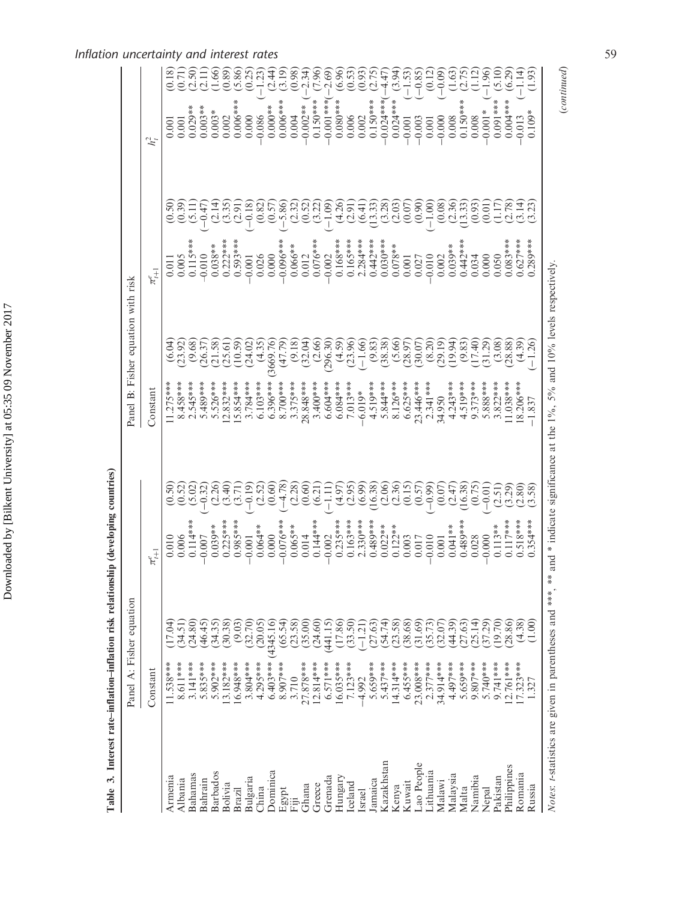Downloaded by [Bilkent University] at 05:35 09 November 2017 Downloaded by [Bilkent University] at 05:35 09 November 2017

Table 3. Interest rate-inflation-inflation risk relationship (developing countries) Table 3. Interest rate–inflation–inflation risk relationship (developing countries)

|                                                      | Panel A: Fisher equation |           |               |                                                                             |             | Panel B: Fisher equation with risk |               |         |              |           |
|------------------------------------------------------|--------------------------|-----------|---------------|-----------------------------------------------------------------------------|-------------|------------------------------------|---------------|---------|--------------|-----------|
|                                                      | Constant                 |           | $\pi^e_{t+1}$ |                                                                             | Constant    |                                    | $\pi^e_{t+1}$ |         | $h_t^2$      |           |
| Armenia                                              | $1.538***$               | 7.04      | 0.010         | (0.50)                                                                      | $1.275***$  | (6.04)                             | 0.011         | (0.50)  | 0.001        | (0.18)    |
| Albania                                              | 8.611***                 | (34.51)   | 0.006         | (0.52)                                                                      | $8.458***$  | (23.92)                            | 0.005         | (0.39)  | 0.001        | (0.71)    |
| Bahamas                                              | $3.141***$               | (24.80)   | $0.114***$    | (5.02)                                                                      | $2.545***$  | (9.68)                             | $0.115***$    | (5.11)  | $0.029**$    | (2.50)    |
| Bahrain                                              | 5.835****                | (46.45)   | 0.007         | $-0.32$                                                                     | 5.489***    | (26.37)                            | $-0.010$      | $-0.47$ | $0.003**$    | 2.11      |
| <b>Barbados</b>                                      | 5.902***                 | (34.35)   | $0.039**$     | $(2.26)$<br>$(3.40)$                                                        | $5.526***$  | (21.58)                            | $0.038**$     | (2.14)  | $0.003*$     | (1.66)    |
| Bolivia                                              | $13.182***$              | (30.38)   | $0.225***$    |                                                                             | $12.832***$ | (25.61)                            | $0.222***$    | (3.35)  | 0.002        | (0.89)    |
| Brazil                                               | $6.948***$               | (9.03)    | $0.985***$    | (3.71)                                                                      | .5.854***   | (10.59)                            | $0.593***$    | (2.91)  | $0.006***$   | (5.86)    |
| Bulgaria                                             | $3.804***$               | (32.70)   | $-0.001$      | $-0.19$                                                                     | $3.784***$  | (24.02)                            | $-0.001$      | $-0.18$ | 0.000        | (0.25)    |
| China                                                | $4.295***$               | (20.05)   | $0.064**$     | (2.52)                                                                      | $6.103***$  | (4.35)                             | 0.026         | (0.82)  | $-0.086$     | 1.23      |
| <b>Dominica</b>                                      | $6.403***$               | (4345.16) | 0.000         | (0.60)                                                                      | $6.396***$  | 3669.76                            | 0.000         | (0.57)  | $0.000**$    | (2.44)    |
| Egypt                                                | 8.907***                 | (65.54)   | $-0.076***$   | $-4.78$                                                                     | $8.700***$  | (47.79)                            | $-0.096***$   | $-5.86$ | $0.006***$   | (3.19)    |
| Eii                                                  | 3.710                    | (23.58)   | $0.065**$     | $(2.28)$<br>$(0.60)$                                                        | $3.375***$  | (9.18)                             | $0.066**$     | (2.32)  | 0.004        | (0.98)    |
| Ghana                                                | 27.878***                | (35.00)   | 0.014         |                                                                             | 28.848***   | (32.04)                            | 0.012         | (0.52)  | $-0.002**$   | $-2.34$   |
| Greece                                               | $12.814***$              | (24.60)   | $0.144***$    | (6.21)                                                                      | $3.400***$  | (2.66)                             | $0.076***$    | (3.22)  | $0.150***$   | (7.96)    |
| Grenada                                              | $6.571***$               | 441.15    | $-0.002$      | $\frac{11}{11}$                                                             | $6.604***$  | (296.30)                           | $-0.002$      | $-1.09$ | $-0.001$ *** | 2.69      |
| Hungary                                              | $16.035***$              | (17.86)   | $0.235***$    | (4.97)                                                                      | 6.084 ***   | (4.59)                             | $0.168***$    | (4.26)  | $0.080***$   | (6.96)    |
| lceland                                              | $7.123***$               | (33.50)   | $0.163***$    | (2.95)                                                                      | 7.013****   | (23.96)                            | $0.165***$    | (2.91)  | 0.006        | (0.53)    |
| <b>Israel</b>                                        | $-4.992$                 | $-1.21$   | $2.330***$    | (6.99)                                                                      | $-6.019*$   | $-1.66$                            | $2.284***$    | (6.41)  | 0.002        | (0.93)    |
| <b>Jamaica</b>                                       | 5.659***                 | (27.63)   | $0.489***$    | (16.38)                                                                     | $4.519***$  | (9.83)                             | $0.442***$    | 13.33   | $0.150***$   | (2.75)    |
| Kazakhstan                                           | $5.437***$               | (54.74)   | $0.022**$     | $(2.06)$<br>$(2.36)$                                                        | 5.844 ***   | (38.38)                            | $0.030***$    | (3.28)  | $-0.024***$  | $-4.47$   |
| Kenya                                                | $(4.314***$              | (23.58)   | $0.122**$     |                                                                             | $8.126***$  | (5.66)                             | $0.078**$     | (2.03)  | $0.024***$   | (3.94)    |
| Kuwait                                               | $6.455***$               | (38.68)   | 0.003         | (0.15)                                                                      | $6.625***$  | (28.97)                            | 0.001         | (0.07)  | $-0.001$     | $(-1.53)$ |
| Lao People                                           | 23.008***                | 31.69     | 0.017         | (0.57)                                                                      | 23.446***   | (30.07)                            | 0.027         | (0.90)  | $-0.003$     | $(-0.85)$ |
| ithuania                                             | $2.377***$               | 35.73     | $-0.010$      | $(-0.99)$                                                                   | $2.341***$  | (8.20)                             | $-0.010$      | $-1.00$ | 0.001        | (0.12)    |
| Malawi                                               | 34.914***                | 32.07     | 0.001         | (0.07)                                                                      | 34.950      | (29.19)                            | 0.002         | (0.08)  | $-0.000$     | $(-0.09)$ |
| Malaysia                                             | $4.497***$               | 44.39     | $0.041**$     | (2.47)                                                                      | $4.243***$  | (19.94)                            | $0.039**$     | (2.36)  | 0.008        | (1.63)    |
| Malta                                                | 5.659***                 | 27.63     | $0.489***$    | 16.38                                                                       | $4.519***$  | (9.83)                             | $0.442***$    | 13.33)  | $0.150***$   | (2.75)    |
| Namibia                                              | $9.807***$               | 25.14     | 0.028         | (0.75)                                                                      | $9.373***$  | (17.40)                            | 0.034         | (0.93)  | 0.008        | (1.12)    |
| Nepal                                                | 5.740***                 | 37.29     | 0.000         | $-0.01$                                                                     | 5.888***    | (31.29)                            | 0.000         | (0.01)  | $-0.001*$    | 1.96      |
| Pakistan                                             | $9.741***$               | (19.70)   | $0.113**$     | (2.51)                                                                      | $3.822***$  | (3.08)                             | 0.050         | (1.17)  | $0.091***$   | (5.10)    |
| Philippines                                          | $12.761***$              | (28.86)   | $0.117***$    | 3.29                                                                        | $1.038***$  | (28.88)                            | $0.083***$    | (2.78)  | $0.004***$   | (6.29)    |
| Romania                                              | $17.323***$              | (4.38)    | $0.518***$    | 2.80                                                                        | $8.206***$  | (4.39)                             | $0.627***$    | (3.14)  | $-0.013$     |           |
| Russia                                               | 1.327                    | (1.00)    | $0.354***$    | (3.58)                                                                      | $-1.837$    | $-1.26$                            | $0.289***$    |         | $0.109*$     | (1.93)    |
| Notes: t-statistics are given in parentheses and *** |                          | *<br>*    |               | and $*$ indicate significance at the 1%, $5\%$ and 10% levels respectively. |             |                                    |               |         |              |           |

Inflation uncertainty and interest rates 59

(continued)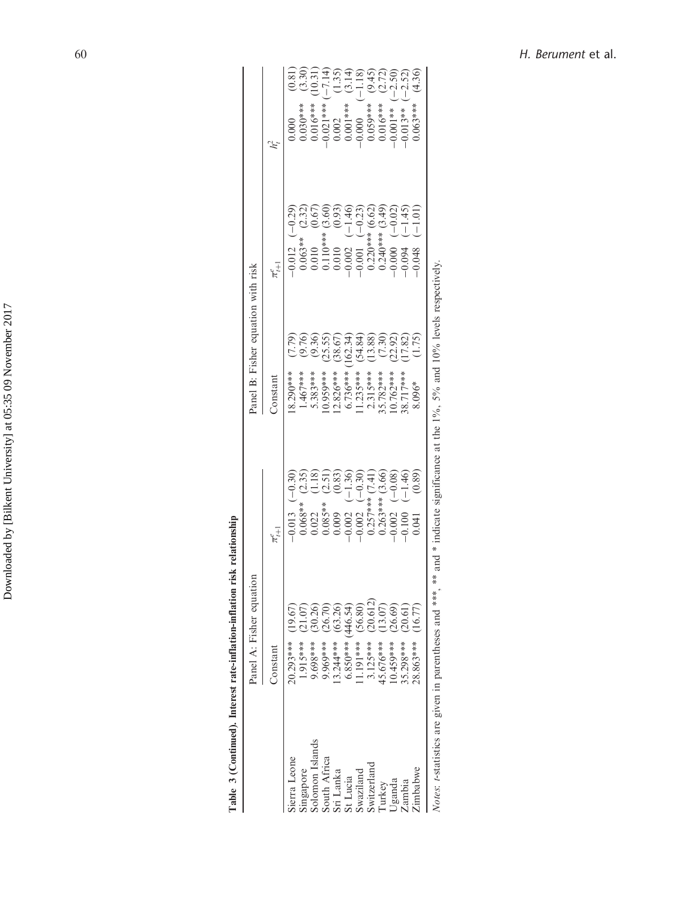|                 | Panel A: Fisher equation |                                                                                    | Panel B: Fisher equation with risk                 |                                                                                                   |                                                         |
|-----------------|--------------------------|------------------------------------------------------------------------------------|----------------------------------------------------|---------------------------------------------------------------------------------------------------|---------------------------------------------------------|
|                 | Constant                 | $\pi^\mathrm{e}_{t+1}$                                                             | Constant                                           | $\pi^e_{t+1}$                                                                                     | $h_i^2$                                                 |
| ierra Leone     | (19.67)<br>$20.293***$   | $0.013$ $(-0.30)$                                                                  | (61.7)<br>$18.290***$                              | $-0.012$ $(-0.29)$                                                                                | (0.81)<br>0.000                                         |
| ingapore        | (21.07)<br>1.915 ***     |                                                                                    | (9.76)<br>$1.467***$                               | (2.32)                                                                                            | (3.30)                                                  |
| solomon Islands | (30.26)<br>$9.698***$    | (2.35)<br>(1.18)                                                                   | 5.383***                                           | $(0.67)$                                                                                          | 10.31<br>$0.030***$                                     |
| South Africa    | (26.70)<br>9.969***      | (2.51)<br>$\frac{0.068**}{0.022}$<br>0.022                                         | (25.55)<br>$0.959***$                              | $\begin{array}{ll} 0.063**& (2.32)\\ 0.010& (0.67)\\ 0.110***& (3.60)\\ 0.010& (0.93)\end{array}$ | $-0.021***$                                             |
| Sri Lanka       | (63.26)<br>$13.244***$   | (0.83)<br>0.009                                                                    | (38.67)<br>$2.826***$                              |                                                                                                   | $(-7.14)$<br>$(1.35)$<br>$(3.14)$<br>$(-1.18)$<br>0.002 |
| St Lucia        | $6.850***$ (446.54)      |                                                                                    | 162.34<br>$6.736***$                               |                                                                                                   | $0.001***$                                              |
| swaziland       | (56.80)<br>$1.191***$    |                                                                                    | (54.84)<br>$1.235***$                              |                                                                                                   |                                                         |
| Switzerland     | 20.612<br>$3.125***$     |                                                                                    | $2.315***$                                         |                                                                                                   | (9.45)                                                  |
| <b>Turkey</b>   | 13.07)<br>45.676***      | $-0.002$ $(-1.36)$<br>$-0.002$ $(-0.30)$<br>$0.257***$ $(7.41)$<br>0.263*** (3.66) | 35.782***                                          | $-0.002$ $(-1.46)$<br>$-0.001$ $(-0.23)$<br>$0.220***$ $(6.62)$<br>0.240*** $(3.49)$              | (2.72)<br>$-0.000$<br>0.059***<br>0.016***              |
| Jganda          | 26.69)<br>$0.459***$     | $-0.08$<br>$-0.002$                                                                | $0.762***$                                         | $(-0.02)$<br>$-0.000$                                                                             | $(-2.50)$<br>$0.001**$                                  |
| Lambia          | 20.61)<br>35.298***      | $-1.46$<br>$-0.100$                                                                | 88.717***                                          | $-1.45$<br>$-0.094$                                                                               | -2.52)<br>$-0.013**$                                    |
| <i>imbabwe</i>  | (16.77)<br>$28.863***$   | (0.89)<br>0.041                                                                    | (1.75)<br>8.096*                                   | $-1.01$<br>$-0.048$                                                                               | $0.063***$                                              |
|                 | the dealer and the first | $\ddot{ }$ .                                                                       | -<br>-<br>-<br>$\tilde{\epsilon}$<br>$\frac{1}{2}$ |                                                                                                   |                                                         |

| í<br>in all                         |  |
|-------------------------------------|--|
| <b>CHANGE</b>                       |  |
| Ī<br>$\sim$<br>$\ddot{\phantom{0}}$ |  |
|                                     |  |
|                                     |  |
| $\overline{\phantom{a}}$            |  |
|                                     |  |

*Notes: t*-statistics are given in parentheses and \*\*\*, \*\* and \* indicate significance at the 1%,  $5\%$  and 10% levels respectively. *Notes:* t-statistics are given in parentheses and \*\*\*, \*\* and \* indicate significance at the 1%, 5% and 10% levels respectively.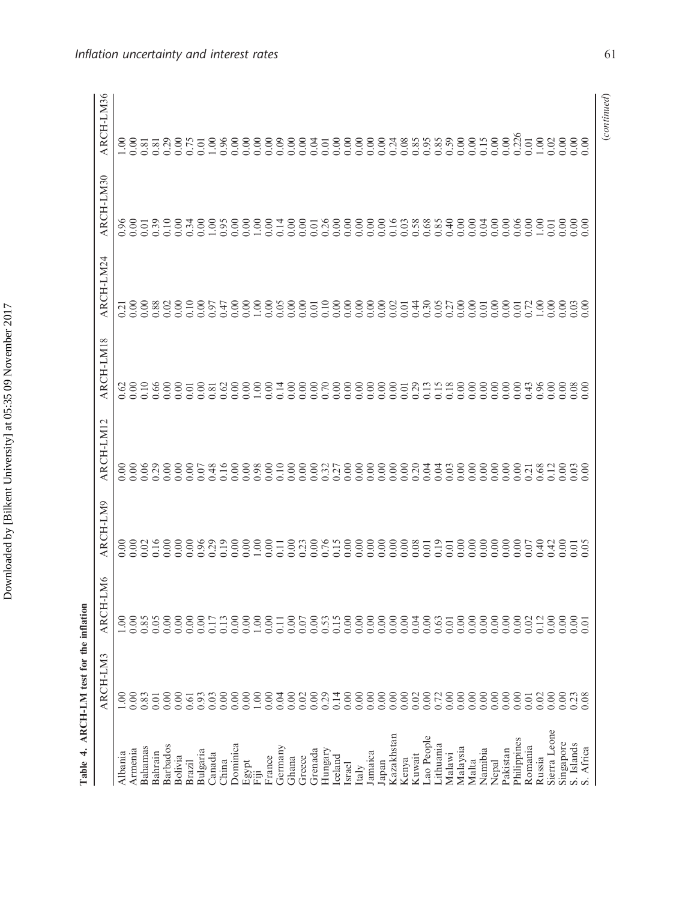| I<br>ı<br>֠<br>i<br>`ı<br>'<br>j<br>I<br>۱<br>l<br>j<br>l<br>l<br>֕<br>I<br>֕<br>I<br>ׇ֚֘<br>l<br>l<br>I<br>ׇ֚֡<br>֕<br>ļ | ֚֕<br>i<br>l<br>i<br>l |
|---------------------------------------------------------------------------------------------------------------------------|------------------------|
|                                                                                                                           |                        |
|                                                                                                                           |                        |
|                                                                                                                           |                        |
|                                                                                                                           |                        |
|                                                                                                                           |                        |
|                                                                                                                           |                        |
|                                                                                                                           |                        |
|                                                                                                                           |                        |
|                                                                                                                           |                        |
|                                                                                                                           |                        |
|                                                                                                                           |                        |
|                                                                                                                           |                        |
|                                                                                                                           |                        |

| åe  |
|-----|
| ΙöΙ |
| E   |
| É   |
|     |
| è   |
|     |

|                 | ARCH-LM3 | LM6<br>ARCH-      | ARCH-LM9 | ARCH-LM12                  | ARCH-LM18        | ARCH-LM24                                           | ARCH-LM30                                      | ARCH-LM36           |
|-----------------|----------|-------------------|----------|----------------------------|------------------|-----------------------------------------------------|------------------------------------------------|---------------------|
|                 |          |                   |          |                            |                  |                                                     |                                                |                     |
| Albania         | 00.1     | 00.1              | 0.00     | 0.00                       | $0.62$<br>0.00   | 0.21                                                | 0.96                                           | $\frac{0}{2}$       |
| Armenia         | 0.00     | 0.00              | 0.00     | 0.00                       |                  |                                                     |                                                | 0.00                |
| Bahamas         | 0.83     | 0.85              | 0.02     |                            | 0.10             |                                                     |                                                |                     |
| Bahrain         | 0.01     | 0.05              | 0.16     | $0.06$<br>0.29             | 0.66             | $0.880$<br>0.00                                     | $\begin{array}{c} 0.01 \\ 0.39 \end{array}$    | $\frac{0.81}{0.81}$ |
| Barbados        | 0.00     | 0.00              | 0.00     |                            | 0.00             |                                                     |                                                |                     |
| Bolivia         | 0.00     | 0.00              | 0.00     |                            | 0.00             | 0.00                                                | $0.10$<br>$0.34$<br>$0.00$<br>$0.00$<br>$0.95$ | 0.29                |
| Brazil          | 0.61     | 0.00              | 0.00     |                            | 0.01             |                                                     |                                                |                     |
| Bulgaria        | 0.93     | 0.00              | 0.96     |                            | 0.00             | $\begin{array}{c} 0.10 \\ 0.00 \\ 0.97 \end{array}$ |                                                | $0.75$<br>0.01      |
| Canada          | 0.03     | 0.17              | 0.29     |                            | 0.81             |                                                     |                                                |                     |
| China           | 0.00     | 0.13              | 0.19     |                            | 0.62             | 0.47                                                |                                                | $1.00$<br>0.96      |
| <b>Dominica</b> |          | 0.00              |          |                            | 0.00             |                                                     |                                                |                     |
| Egypt           | 0.00000  | 0.00              | 0.00000  |                            | 0.00             | 0.00000                                             | 0.00000                                        | 0.00000             |
| ËË              | 1.00     | 00.1              | 1.00     |                            | 1.00             |                                                     |                                                | 0.00                |
| France          | 0.00     | 0.00              | 0.00     |                            | 0.00             | $\begin{array}{c} 1.00 \\ 0.00 \end{array}$         | $\begin{array}{c} 1.00 \\ 0.00 \end{array}$    | 0.00                |
| Germany         | 0.04     | $\overline{0}$ .  | 0.11     |                            | 0.14             |                                                     |                                                | 0.09                |
| Ghana           | 0.00     | $0.00$            | 0.00     | $0.10$<br>$0.00$<br>$0.00$ | 0.00             | $0.05$<br>$0.00$                                    |                                                | $0.00\,$            |
| Greece          | 0.02     | 0.07              | 0.23     |                            | 0.00             |                                                     |                                                | 0.00                |
| Grenada         | 0.00     | 0.00              | 0.00     |                            | 0.00             | 0.01                                                | 0.01                                           | 0.04                |
| Hungary         | 0.29     | 0.53              | 0.76     |                            |                  |                                                     |                                                |                     |
| celand          | 0.14     | 0.15              | 0.15     | $0.32$<br>$0.27$           | $0.70$<br>$0.00$ | $0.10$<br>$0.00$                                    | $0.26$<br>0.00                                 | 0.01                |
| [srae]          | 0.00     | 0.00              | 0.00     |                            | 0.00             |                                                     |                                                | 0.00                |
| Italy           | 0.00     | 0.00              | 0.00     |                            | 0.00             |                                                     | 8888                                           | $0.00\,$            |
| lamaica         | 0.00     | 0.00              | 0.00     |                            | 0.00             |                                                     |                                                | 0.00                |
| lapan           | 0.00     | 0.00              | 0.00     |                            | 0.00             |                                                     |                                                | 0.00                |
| Kazakhstan      | 0.00     | 0.00              | 0.00     |                            | 0.00             |                                                     |                                                | 0.24                |
| Kenya           | 0.00     | 0.00              | 0.00     |                            | 0.01             | 0.01                                                | $0.16$<br>$0.03$                               | 0.08                |
| Kuwait          | 0.02     | 0.04              | 0.08     |                            | 0.29             |                                                     |                                                |                     |
| ao People       | 0.00     | 0.00              | 0.01     | $0.20$<br>0.04             | 0.13             | 0.44                                                | $0.58$<br>0.68                                 | $0.85$<br>0.95      |
| Lithuania       | 0.72     | 0.63              | 0.19     |                            |                  |                                                     |                                                | $0.85$<br>$0.59$    |
| Malawi          | 0.00     | 0.01              | 0.01     | 0.04                       | $0.15$<br>0.18   | $0.05$<br>$0.27$                                    |                                                |                     |
| Malaysia        | 0.00     | 0.00              | 0.00     |                            | 0.00             | 0.00                                                | 85<br>0.0000<br>0.000                          | 0.00                |
| Malta           | 0.00     | 0.00              | 0.00     |                            | $0.00\,$         | $0.00$                                              |                                                | 0.00                |
| Namibia         | 0.00     | 0.00              | 0.00     |                            | 0.00             | 0.01                                                |                                                | $0.15$<br>0.00      |
| Nepal           | 0.00     | 0.00              | 0.00     | 0.00                       | 0.00             | 0.00                                                | 0.00                                           |                     |
| Pakistan        | 0.00     | 0.00              | 0.00     | 0.00000                    | 0.00             |                                                     | 0.000000                                       | 0.00                |
| Philippines     | 0.00     | 0.00              | 0.00     |                            | 0.00             |                                                     |                                                | 0.226               |
| Romania         | 0.01     | 0.02              | 0.07     | 0.21                       | 0.43             | $0.72$<br>1.00                                      | 0.00                                           | 0.01                |
| Russia          | 0.02     | 0.12              | 0.40     | 0.68                       | 0.96             |                                                     |                                                | $1.00\,$            |
| Sierra Leone    | 0.00     | 0.00              | 0.42     | 0.12                       | 0.00             | 0.00                                                | $\begin{array}{c} 1.00 \\ 0.01 \end{array}$    | 0.02                |
| Singapore       | 0.00     | 0.00              | 0.00     | 0.00                       | 0.00             | 0.00                                                | 0.00                                           | 0.00                |
| S. Islands      | 0.23     | 0.00              | 0.01     | 0.03                       | 0.08             | 0.03                                                | 0.00                                           | 0.00                |
| Africa          | 0.08     | $\overline{0.01}$ | 0.05     | 0.00                       | 0.00             | 0.00                                                | 0.00                                           | 0.00                |
|                 |          |                   |          |                            |                  |                                                     |                                                | (continued)         |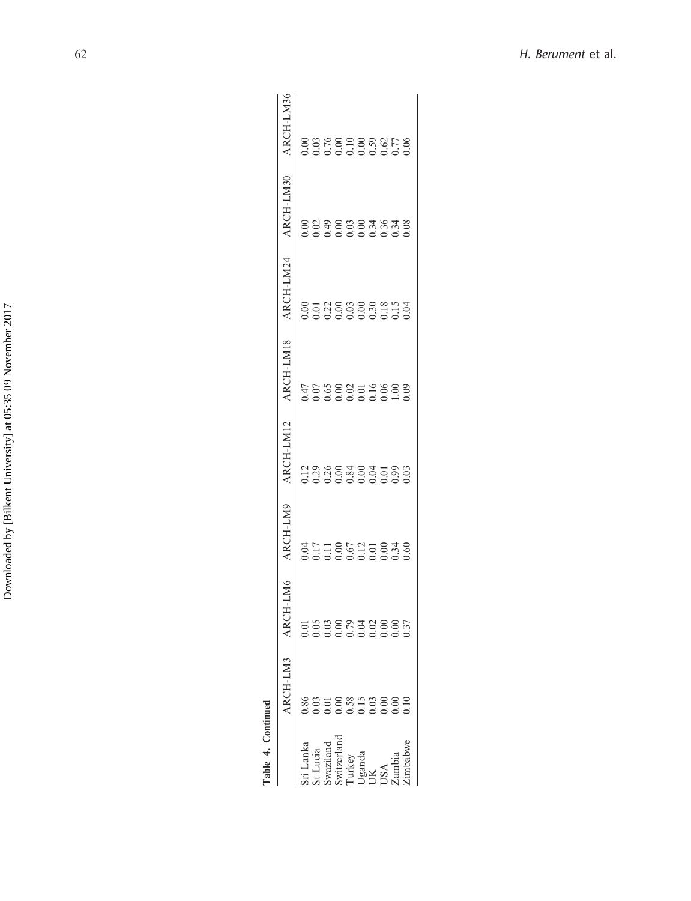|                              | ARCH-LM3 | -N6   | ARCH-LM9                                       | ARCH-LM12                | ARCH-LM18    | ARCH-LM24 | ARCH-LM30 | ARCH-LM36 |
|------------------------------|----------|-------|------------------------------------------------|--------------------------|--------------|-----------|-----------|-----------|
|                              |          |       |                                                |                          |              |           |           |           |
| i Lanka<br>Lucia<br>waziland |          |       | 311106120000<br>1111061200000<br>1111061200000 | 1388383588<br>1388385588 | 777080079800 |           |           |           |
|                              | 0.01     |       |                                                |                          |              |           |           |           |
| vitzerland                   |          |       |                                                |                          |              |           |           |           |
|                              |          |       |                                                |                          |              |           |           |           |
|                              |          |       |                                                |                          |              |           |           |           |
| urkey<br>Jganda<br>JK        |          |       |                                                |                          |              |           |           |           |
| <b>ISA</b>                   |          |       |                                                |                          |              |           |           |           |
| ambia                        |          | 0.000 |                                                |                          |              |           |           |           |
| ababwe                       |          |       |                                                |                          |              |           |           |           |
|                              |          |       |                                                |                          |              |           |           |           |

Table 4. Continued

Table 4. Continued

| l             |
|---------------|
| I             |
|               |
|               |
|               |
|               |
|               |
|               |
|               |
|               |
| i             |
|               |
| $\frac{1}{2}$ |
|               |
| י<br>י        |
|               |
|               |
|               |
|               |
| I<br>١        |
| l             |
| ֕             |
| ֕             |
|               |
| l             |
|               |
|               |
|               |
|               |
|               |
|               |
| l             |
|               |
|               |
|               |
|               |
|               |
|               |
|               |
|               |
|               |
|               |
|               |
|               |

62 H. Berument et al.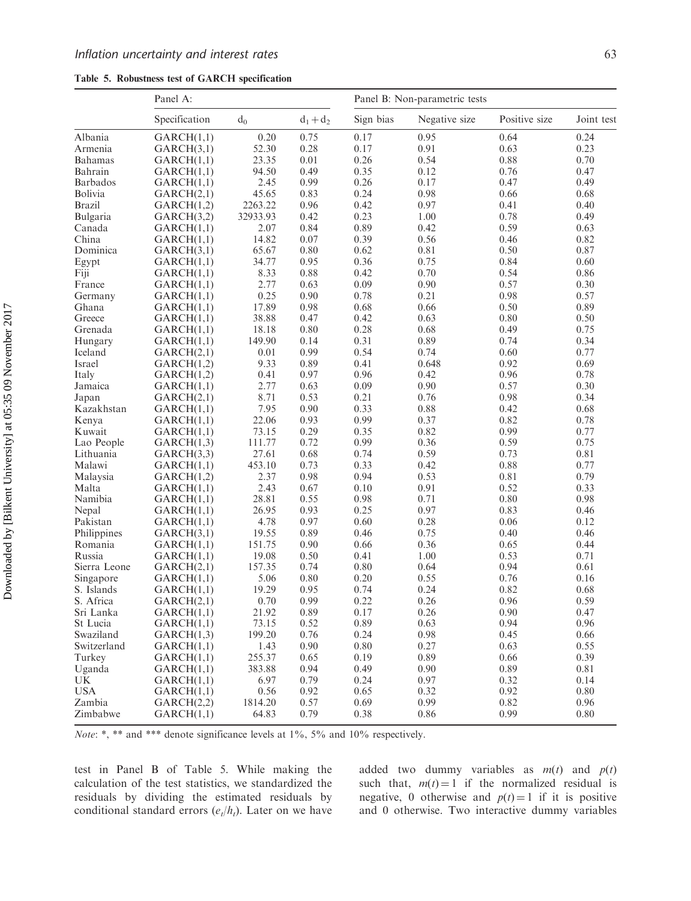Table 5. Robustness test of GARCH specification

|                | Panel A:      |          |             |           | Panel B: Non-parametric tests |               |            |
|----------------|---------------|----------|-------------|-----------|-------------------------------|---------------|------------|
|                | Specification | $d_0$    | $d_1 + d_2$ | Sign bias | Negative size                 | Positive size | Joint test |
| Albania        | GARCH(1,1)    | 0.20     | 0.75        | 0.17      | 0.95                          | 0.64          | 0.24       |
| Armenia        | GARCH(3,1)    | 52.30    | 0.28        | 0.17      | 0.91                          | 0.63          | 0.23       |
| <b>Bahamas</b> | GARCH(1,1)    | 23.35    | 0.01        | 0.26      | 0.54                          | 0.88          | 0.70       |
| Bahrain        | GARCH(1,1)    | 94.50    | 0.49        | 0.35      | 0.12                          | 0.76          | 0.47       |
| Barbados       | GARCH(1,1)    | 2.45     | 0.99        | 0.26      | 0.17                          | 0.47          | 0.49       |
| Bolivia        | GARCH(2,1)    | 45.65    | 0.83        | 0.24      | 0.98                          | 0.66          | 0.68       |
| <b>Brazil</b>  | GARCH(1,2)    | 2263.22  | 0.96        | 0.42      | 0.97                          | 0.41          | 0.40       |
| Bulgaria       | GARCH(3,2)    | 32933.93 | 0.42        | 0.23      | 1.00                          | 0.78          | 0.49       |
| Canada         | GARCH(1,1)    | 2.07     | 0.84        | 0.89      | 0.42                          | 0.59          | 0.63       |
| China          | GARCH(1,1)    | 14.82    | 0.07        | 0.39      | 0.56                          | 0.46          | 0.82       |
| Dominica       | GARCH(3,1)    | 65.67    | 0.80        | 0.62      | 0.81                          | 0.50          | 0.87       |
| Egypt          | GARCH(1,1)    | 34.77    | 0.95        | 0.36      | 0.75                          | 0.84          | 0.60       |
| Fiji           | GARCH(1,1)    | 8.33     | 0.88        | 0.42      | 0.70                          | 0.54          | 0.86       |
| France         | GARCH(1,1)    | 2.77     | 0.63        | 0.09      | 0.90                          | 0.57          | 0.30       |
| Germany        | GARCH(1,1)    | 0.25     | 0.90        | 0.78      | 0.21                          | 0.98          | 0.57       |
| Ghana          | GARCH(1,1)    | 17.89    | 0.98        | 0.68      | 0.66                          | 0.50          | 0.89       |
| Greece         | GARCH(1,1)    | 38.88    | 0.47        | 0.42      | 0.63                          | 0.80          | 0.50       |
| Grenada        | GARCH(1,1)    | 18.18    | 0.80        | 0.28      | 0.68                          | 0.49          | 0.75       |
| Hungary        | GARCH(1,1)    | 149.90   | 0.14        | 0.31      | 0.89                          | 0.74          | 0.34       |
| Iceland        | GARCH(2,1)    | 0.01     | 0.99        | 0.54      | 0.74                          | 0.60          | 0.77       |
| Israel         | GARCH(1,2)    | 9.33     | 0.89        | 0.41      | 0.648                         | 0.92          | 0.69       |
| Italy          | GARCH(1,2)    | 0.41     | 0.97        | 0.96      | 0.42                          | 0.96          | 0.78       |
| Jamaica        | GARCH(1,1)    | 2.77     | 0.63        | 0.09      | 0.90                          | 0.57          | 0.30       |
| Japan          | GARCH(2,1)    | 8.71     | 0.53        | 0.21      | 0.76                          | 0.98          | 0.34       |
| Kazakhstan     | GARCH(1,1)    | 7.95     | 0.90        | 0.33      | 0.88                          | 0.42          | 0.68       |
| Kenya          | GARCH(1,1)    | 22.06    | 0.93        | 0.99      | 0.37                          | 0.82          | 0.78       |
| Kuwait         | GARCH(1,1)    | 73.15    | 0.29        | 0.35      | 0.82                          | 0.99          | 0.77       |
| Lao People     | GARCH(1,3)    | 111.77   | 0.72        | 0.99      | 0.36                          | 0.59          | 0.75       |
| Lithuania      | GARCH(3,3)    | 27.61    | 0.68        | 0.74      | 0.59                          | 0.73          | 0.81       |
| Malawi         | GARCH(1,1)    | 453.10   | 0.73        | 0.33      | 0.42                          | 0.88          | 0.77       |
| Malaysia       | GARCH(1,2)    | 2.37     | 0.98        | 0.94      | 0.53                          | 0.81          | 0.79       |
| Malta          | GARCH(1,1)    | 2.43     | 0.67        | 0.10      | 0.91                          | 0.52          | 0.33       |
| Namibia        | GARCH(1,1)    | 28.81    | 0.55        | 0.98      | 0.71                          | 0.80          | 0.98       |
| Nepal          | GARCH(1,1)    | 26.95    | 0.93        | 0.25      | 0.97                          | 0.83          | 0.46       |
| Pakistan       | GARCH(1,1)    | 4.78     | 0.97        | 0.60      | 0.28                          | 0.06          | 0.12       |
| Philippines    | GARCH(3,1)    | 19.55    | 0.89        | 0.46      | 0.75                          | 0.40          | 0.46       |
| Romania        | GARCH(1,1)    | 151.75   | 0.90        | 0.66      | 0.36                          | 0.65          | 0.44       |
| Russia         | GARCH(1,1)    | 19.08    | 0.50        | 0.41      | 1.00                          | 0.53          | 0.71       |
| Sierra Leone   | GARCH(2,1)    | 157.35   | 0.74        | 0.80      | 0.64                          | 0.94          | 0.61       |
| Singapore      | GARCH(1,1)    | 5.06     | 0.80        | 0.20      | 0.55                          | 0.76          | 0.16       |
| S. Islands     | GARCH(1,1)    | 19.29    | 0.95        | 0.74      | 0.24                          | 0.82          | 0.68       |
| S. Africa      | GARCH(2,1)    | $0.70\,$ | 0.99        | 0.22      | $0.26\,$                      | 0.96          | 0.59       |
| Sri Lanka      | GARCH(1,1)    | 21.92    | 0.89        | 0.17      | 0.26                          | 0.90          | 0.47       |
| St Lucia       | GARCH(1,1)    | 73.15    | 0.52        | 0.89      | 0.63                          | 0.94          | 0.96       |
| Swaziland      | GARCH(1,3)    | 199.20   | 0.76        | 0.24      | 0.98                          | 0.45          | 0.66       |
| Switzerland    | GARCH(1,1)    | 1.43     | 0.90        | 0.80      | 0.27                          | 0.63          | 0.55       |
| Turkey         | GARCH(1,1)    | 255.37   | 0.65        | 0.19      | 0.89                          | 0.66          | 0.39       |
| Uganda         | GARCH(1,1)    | 383.88   | 0.94        | 0.49      | 0.90                          | 0.89          | 0.81       |
| UK             | GARCH(1,1)    | 6.97     | 0.79        | 0.24      | 0.97                          | 0.32          | 0.14       |
| <b>USA</b>     | GARCH(1,1)    | 0.56     | 0.92        | 0.65      | 0.32                          | 0.92          | 0.80       |
| Zambia         | GARCH(2,2)    | 1814.20  | 0.57        | 0.69      | 0.99                          | 0.82          | 0.96       |
| Zimbabwe       | GARCH(1,1)    | 64.83    | 0.79        | 0.38      | 0.86                          | 0.99          | $0.80\,$   |

Note: \*, \*\* and \*\*\* denote significance levels at 1%, 5% and 10% respectively.

test in Panel B of Table 5. While making the calculation of the test statistics, we standardized the residuals by dividing the estimated residuals by conditional standard errors  $(e_t/h_t)$ . Later on we have

added two dummy variables as  $m(t)$  and  $p(t)$ such that,  $m(t) = 1$  if the normalized residual is negative, 0 otherwise and  $p(t) = 1$  if it is positive and 0 otherwise. Two interactive dummy variables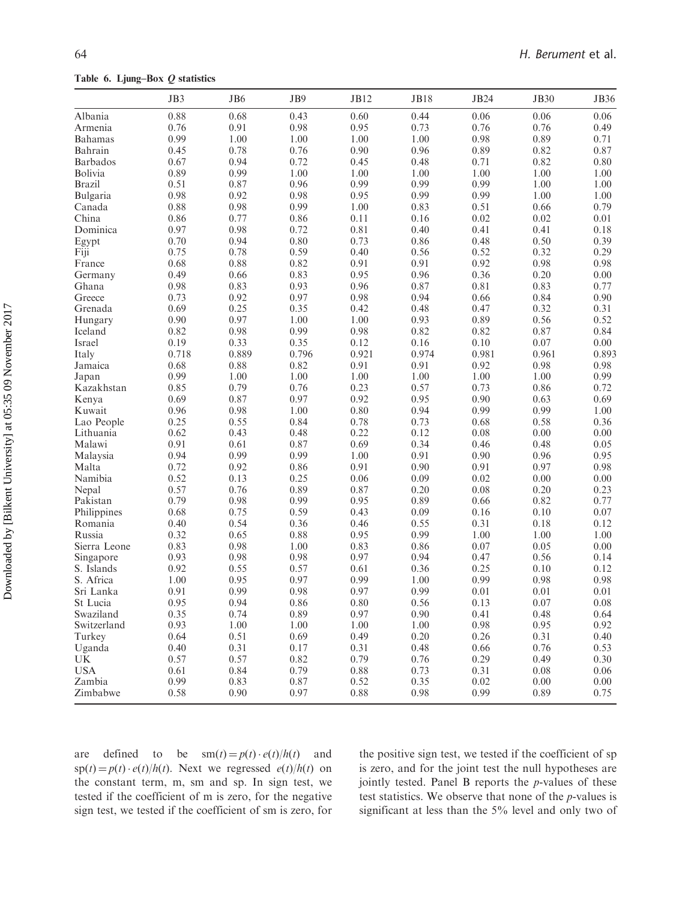Table 6. Ljung–Box *Q* statistics

|                   | JB3   | JB <sub>6</sub> | JB9          | <b>JB12</b> | <b>JB18</b> | JB24  | <b>JB30</b> | JB36     |
|-------------------|-------|-----------------|--------------|-------------|-------------|-------|-------------|----------|
| Albania           | 0.88  | 0.68            | 0.43         | 0.60        | 0.44        | 0.06  | 0.06        | 0.06     |
| Armenia           | 0.76  | 0.91            | 0.98         | 0.95        | 0.73        | 0.76  | 0.76        | 0.49     |
| Bahamas           | 0.99  | 1.00            | 1.00         | 1.00        | 1.00        | 0.98  | 0.89        | 0.71     |
| Bahrain           | 0.45  | 0.78            | 0.76         | 0.90        | 0.96        | 0.89  | 0.82        | 0.87     |
| Barbados          | 0.67  | 0.94            | 0.72         | 0.45        | 0.48        | 0.71  | 0.82        | 0.80     |
| <b>Bolivia</b>    | 0.89  | 0.99            | 1.00         | 1.00        | 1.00        | 1.00  | 1.00        | 1.00     |
| <b>Brazil</b>     | 0.51  | 0.87            | 0.96         | 0.99        | 0.99        | 0.99  | 1.00        | 1.00     |
| Bulgaria          | 0.98  | 0.92            | 0.98         | 0.95        | 0.99        | 0.99  | 1.00        | 1.00     |
| Canada            | 0.88  | 0.98            | 0.99         | 1.00        | 0.83        | 0.51  | 0.66        | 0.79     |
| China             | 0.86  | 0.77            | 0.86         | 0.11        | 0.16        | 0.02  | 0.02        | 0.01     |
| Dominica          | 0.97  | 0.98            | 0.72         | 0.81        | 0.40        | 0.41  | 0.41        | 0.18     |
| Egypt             | 0.70  | 0.94            | 0.80         | 0.73        | 0.86        | 0.48  | 0.50        | 0.39     |
| Fiji              | 0.75  | 0.78            | 0.59         | 0.40        | 0.56        | 0.52  | 0.32        | 0.29     |
| France            | 0.68  | 0.88            | 0.82         | 0.91        | 0.91        | 0.92  | 0.98        | 0.98     |
| Germany           | 0.49  | 0.66            | 0.83         | 0.95        | 0.96        | 0.36  | 0.20        | 0.00     |
| Ghana             | 0.98  | 0.83            | 0.93         | 0.96        | 0.87        | 0.81  | 0.83        | 0.77     |
| Greece            | 0.73  | 0.92            | 0.97         | 0.98        | 0.94        | 0.66  | 0.84        | 0.90     |
| Grenada           | 0.69  | 0.25            | 0.35         | 0.42        | 0.48        | 0.47  | 0.32        | 0.31     |
| Hungary           | 0.90  | 0.97            | 1.00         | 1.00        | 0.93        | 0.89  | 0.56        | 0.52     |
| Iceland           | 0.82  | 0.98            | 0.99         | 0.98        | 0.82        | 0.82  | 0.87        | 0.84     |
| Israel            | 0.19  | 0.33            | 0.35         | 0.12        | 0.16        | 0.10  | 0.07        | 0.00     |
| Italy             | 0.718 | 0.889           | 0.796        | 0.921       | 0.974       | 0.981 | 0.961       | 0.893    |
| Jamaica           | 0.68  | 0.88            | 0.82         | 0.91        | 0.91        | 0.92  | 0.98        | 0.98     |
| Japan             | 0.99  | 1.00            | 1.00         | 1.00        | 1.00        | 1.00  | 1.00        | 0.99     |
| Kazakhstan        | 0.85  | 0.79            | 0.76         | 0.23        | 0.57        | 0.73  | 0.86        | 0.72     |
| Kenya             | 0.69  | 0.87            | 0.97         | 0.92        | 0.95        | 0.90  | 0.63        | 0.69     |
| Kuwait            | 0.96  | 0.98            | 1.00         | 0.80        | 0.94        | 0.99  | 0.99        | 1.00     |
| Lao People        | 0.25  | 0.55            | 0.84         | 0.78        | 0.73        | 0.68  | 0.58        | 0.36     |
| Lithuania         | 0.62  | 0.43            | 0.48         | 0.22        | 0.12        | 0.08  | 0.00        | 0.00     |
| Malawi            | 0.91  | 0.61            | 0.87         | 0.69        | 0.34        | 0.46  | 0.48        | 0.05     |
|                   | 0.94  | 0.99            | 0.99         | 1.00        | 0.91        | 0.90  | 0.96        | 0.95     |
| Malaysia<br>Malta | 0.72  | 0.92            | 0.86         | 0.91        | 0.90        | 0.91  | 0.97        | 0.98     |
|                   |       |                 |              |             |             |       |             |          |
| Namibia           | 0.52  | 0.13            | 0.25<br>0.89 | 0.06        | 0.09        | 0.02  | 0.00        | 0.00     |
| Nepal             | 0.57  | 0.76<br>0.98    | 0.99         | 0.87        | 0.20        | 0.08  | 0.20        | 0.23     |
| Pakistan          | 0.79  |                 | 0.59         | 0.95        | 0.89        | 0.66  | 0.82        | 0.77     |
| Philippines       | 0.68  | 0.75            |              | 0.43        | 0.09        | 0.16  | 0.10        | 0.07     |
| Romania           | 0.40  | 0.54            | 0.36         | 0.46        | 0.55        | 0.31  | 0.18        | 0.12     |
| Russia            | 0.32  | 0.65            | 0.88         | 0.95        | 0.99        | 1.00  | 1.00        | 1.00     |
| Sierra Leone      | 0.83  | 0.98            | 1.00         | 0.83        | 0.86        | 0.07  | 0.05        | $0.00\,$ |
| Singapore         | 0.93  | 0.98            | 0.98         | 0.97        | 0.94        | 0.47  | 0.56        | 0.14     |
| S. Islands        | 0.92  | 0.55            | 0.57         | 0.61        | 0.36        | 0.25  | 0.10        | 0.12     |
| S. Africa         | 1.00  | 0.95            | 0.97         | 0.99        | 1.00        | 0.99  | 0.98        | 0.98     |
| Sri Lanka         | 0.91  | 0.99            | 0.98         | 0.97        | 0.99        | 0.01  | 0.01        | 0.01     |
| St Lucia          | 0.95  | 0.94            | 0.86         | 0.80        | 0.56        | 0.13  | 0.07        | 0.08     |
| Swaziland         | 0.35  | 0.74            | 0.89         | 0.97        | 0.90        | 0.41  | 0.48        | 0.64     |
| Switzerland       | 0.93  | 1.00            | 1.00         | 1.00        | 1.00        | 0.98  | 0.95        | 0.92     |
| Turkey            | 0.64  | 0.51            | 0.69         | 0.49        | 0.20        | 0.26  | 0.31        | 0.40     |
| Uganda            | 0.40  | 0.31            | 0.17         | 0.31        | 0.48        | 0.66  | 0.76        | 0.53     |
| UK                | 0.57  | 0.57            | 0.82         | 0.79        | 0.76        | 0.29  | 0.49        | 0.30     |
| <b>USA</b>        | 0.61  | 0.84            | 0.79         | 0.88        | 0.73        | 0.31  | 0.08        | 0.06     |
| Zambia            | 0.99  | 0.83            | $0.87\,$     | 0.52        | 0.35        | 0.02  | 0.00        | $0.00\,$ |
| Zimbabwe          | 0.58  | 0.90            | 0.97         | 0.88        | 0.98        | 0.99  | 0.89        | 0.75     |

are defined to be  $\operatorname{sm}(t) = p(t) \cdot e(t)/h(t)$  and  $s p(t) = p(t) \cdot e(t)/h(t)$ . Next we regressed  $e(t)/h(t)$  on the constant term, m, sm and sp. In sign test, we tested if the coefficient of m is zero, for the negative sign test, we tested if the coefficient of sm is zero, for

the positive sign test, we tested if the coefficient of sp is zero, and for the joint test the null hypotheses are jointly tested. Panel B reports the p-values of these test statistics. We observe that none of the p-values is significant at less than the 5% level and only two of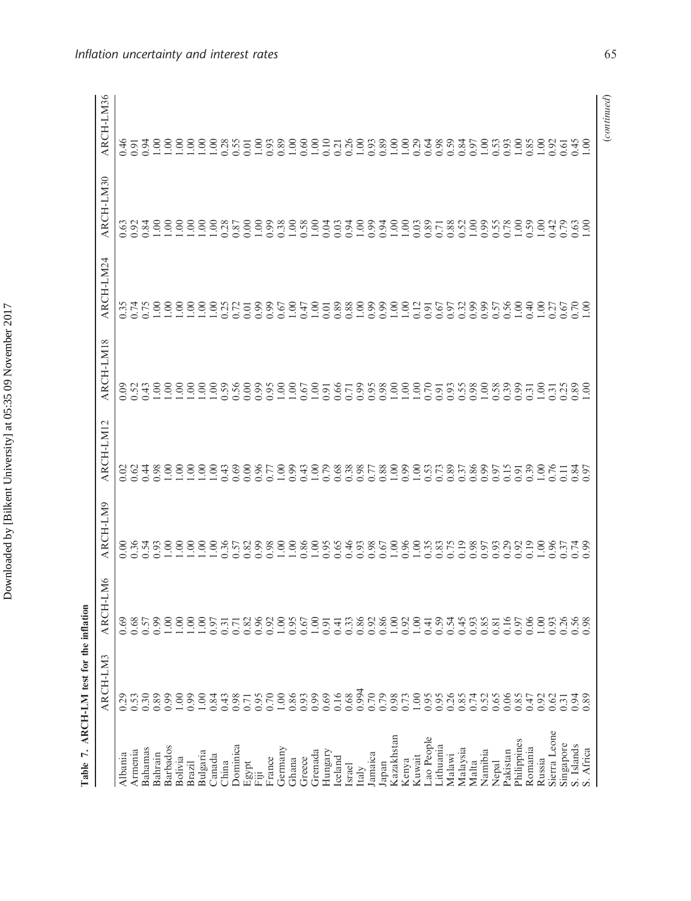| l<br>֚֕֡<br>l<br>I<br>֠ |
|-------------------------|
|                         |
| i<br>C                  |
| י                       |
| I                       |
| $\vdots$<br>ı           |
| ׇ֚֘                     |
|                         |
|                         |

| $\mathbf{r}$<br>Table | ARCH-LM test for the inflation |                                             |                 |                  |            |                             |                 |                 |
|-----------------------|--------------------------------|---------------------------------------------|-----------------|------------------|------------|-----------------------------|-----------------|-----------------|
|                       | ARCH-LM3                       | LM6<br>ARCH-                                | ARCH-LM9        | ARCH-LM12        | ARCH-LM18  | ARCH-LM24                   | ARCH-LM30       | ARCH-LM36       |
| Albania               | 0.29                           | 0.69                                        | 0.00            | S                | 0.09       | 35                          | 0.63            | 0.46            |
| Armenia               | 0.53                           | 0.68                                        | 0.36            | 0.62             | 0.52       | 0.74                        | 0.92            | 0.91            |
| Bahamas               | 0.30                           | 0.57                                        | 0.54            | 0.44             | 0.43       | 0.75                        | 0.84            | 0.94            |
| Bahrain               | 0.89                           | 0.99                                        | 0.93            | 0.98             | 00.1       | 00.1                        | 00.1            | $\overline{00}$ |
| <b>Barbados</b>       | 0.99                           | 00.1                                        | 00.1            | 1.00             | 00.1       | $1.00\,$                    | 1.00            | 00.1            |
| Bolivia               | 1.00                           | $\frac{8}{1}$                               | 00.1            | 1.00             | 00.1       | 00.1                        | 00.1            | 00.1            |
| Brazil                | 0.99                           | $\approx$                                   | $\ddot{\theta}$ | 00.1             | $\ddot{0}$ | $\mathcal{S}_{\mathcal{S}}$ | $\odot$         | $\overline{00}$ |
| Bulgaria              | 00.1                           | 1.00                                        | $\ddot{\theta}$ | 00.1             | 00.1       | 00.1                        | $\overline{00}$ | 00.1            |
| Canada                | 0.84                           | 0.97                                        | 00.1            | 00.1             | 00.1       | 00.1                        | 00.1            | 1.00            |
| China                 | 0.43                           | 0.31                                        | 0.36            | 0.43             | 0.59       | 0.25                        | 0.28            |                 |
| Dominica              | 0.98                           | 0.71                                        | 0.57            | 0.69             | 0.56       | 0.72                        | 0.87            | 0.55            |
|                       | 0.71                           | 0.82                                        | 0.82            | 0.00             | 0.00       | 0.01                        | 0.00            | 0.01            |
| Egypt<br>Fiji         | 0.95                           | 0.96                                        | 0.99            | 0.96             | 0.99       | 0.99                        | 1.00            | 1,00            |
| France                | 0.70                           | 0.92                                        | 0.98            | 0.77             | 0.95       | 0.99                        | 0.99            | 0.93            |
| Germany               | 1.00                           | $1.00\,$                                    | 1.00            | 1.00             | 1.00       | 0.67                        | 0.38            | 0.89            |
| Ghana                 | 0.86                           | 0.95                                        | 1.00            | 0.99             | 1.00       | 1.00                        | 1.00            | 1.00            |
| Greece                | 0.93                           |                                             | 0.86            | 0.43             | 0.67       | 0.47                        |                 | 0.60            |
| Grenada               | 0.99                           | $\begin{array}{c} 0.67 \\ 1.00 \end{array}$ | 1.00            | 1.00             | $1.00\,$   | 1.00                        | $0.58$<br>1.00  | 1.00            |
| Hungary               | 0.69                           | 0.91                                        | 0.95            | 0.79             | 0.91       | 0.01                        | 0.04            | 0.10            |
| celand                | 0.16                           | 0.41                                        | 0.65            | 0.68             | 0.66       | 0.89                        | 0.03            | 0.21            |
| Israel                | 0.68                           | 0.33                                        | 0.46            | 0.38             | 0.71       | 0.88                        | 0.94            | 0.26            |
| Italy                 | 0.994                          |                                             | 0.93            | 0.98             | 0.99       | 1.00                        | $1.00\,$        | 1.00            |
| Jamaica               | 0.70                           | 0.86                                        | 0.98            | 0.77             | 0.95       | 0.99                        | 0.99            | 0.93            |
| Japan                 | 0.79                           | 0.86                                        | $0.67\,$        | 0.88             | 0.98       | 0.99                        | 0.94            | 0.89            |
| Kazakhstan            | 0.98                           | $1.00$<br>$0.92$                            | 1.00            | 1.00             | 1.00       | 1.00                        | 1.00            | 1.00            |
| Kenya                 | 0.73                           |                                             | 0.96            | 0.99             | $1.00\,$   | $1.00\,$                    | $1.00\,$        | 1.00            |
| Kuwait                | 1.00                           | 1.00                                        | 1.00            | 1.00             | 1.00       | 0.12                        | 0.03            | 0.29            |
| Lao People            | 0.95                           | 0.41                                        | 0.35            | $0.53$<br>$0.73$ | 0.70       | 0.91                        | 0.89            | 0.64            |
| Lithuania             | 0.95                           | 0.59                                        | 0.83            |                  | 0.91       | 0.67                        | 0.71            | 0.98            |
| Malawi                | 0.26                           | $0.54$<br>0.45                              | 0.75            | 0.89             | 0.93       | 0.97                        | 0.88            | 0.59            |
| Malaysia              | 0.85                           |                                             | 0.19            | 0.37             | 0.55       | 0.32                        | 0.52            | 0.84            |
| Malta                 | 0.74                           | 0.93                                        | 0.98            | 0.86             | 0.98       | 0.99                        | 1.00            | 0.97            |
| Namibia               | 0.52                           | $\frac{0.85}{0.81}$                         | 0.97            | 0.99             | $1.00\,$   | 0.99                        | 0.99            | 1.00            |
| Nepal                 | 0.65                           |                                             | 0.93            | 0.97             | 0.58       | 0.57                        | 0.55            | 0.53            |
| Pakistan              | 0.06                           | 0.16                                        | 0.29            | 0.15             | 0.39       | 0.56                        | 0.78            | 0.93            |
| Philippines           | 0.85                           | 0.97                                        | 0.92            | 0.91             | 0.99       | 1.00                        | 1.00            | 1.00            |
| Romania               | 0.47                           | 0.06                                        | 0.19            | 0.39             | 0.31       | 0.40                        | 0.59            | 0.85            |
| Russia                | 0.92                           | 1.00                                        | 1.00            | 1.00             | 1.00       | 1.00                        | 1.00            | 1.00            |
| Sierra Leone          | 0.62                           | 0.93                                        | 0.96            | 0.76             | 0.31       | 0.27                        | 0.42            | 0.92            |
| Singapore             | 0.31                           | 0.26                                        | 0.37            | 0.11             | 0.25       | 0.67                        | 0.79            | 0.61            |
| S. Islands            | 0.94                           | 0.56                                        | 0.74            | $0.84$<br>0.97   | 0.89       | 0.70                        | 0.63            | 0.45            |
| Africa<br>S           | 0.89                           | 0.98                                        | 0.99            |                  | 00.1       | 1,00                        | 1.00            | 1.00            |

Inflation uncertainty and interest rates 65

(continued)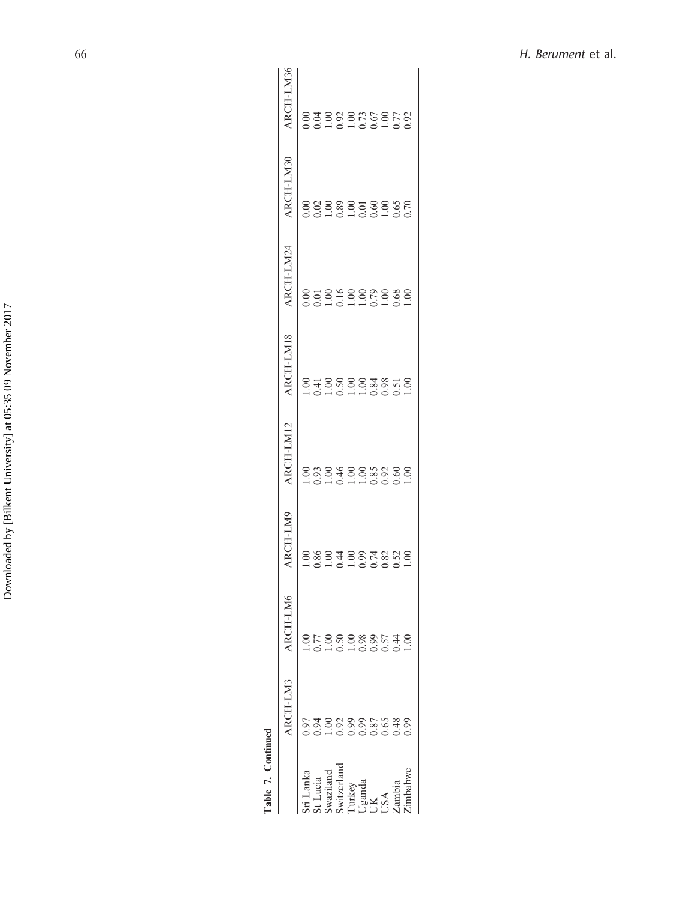| <b>Table 7. Continued</b>            |          |          |                  |           |           |               |                  |           |
|--------------------------------------|----------|----------|------------------|-----------|-----------|---------------|------------------|-----------|
|                                      | ARCH-LM3 | ARCH-LM6 | ARCH-LM9         | ARCH-LM12 | ARCH-LM18 | ARCH-LM24     | ARCH-LM30        | ARCH-LM36 |
| ri Lanka                             | 197      |          | $\frac{8}{1}$    | 1.00      | 00.1      | 0.00          | 00(              |           |
|                                      |          | דר ו     | 0.86             |           |           | 0.01          | 0.02             |           |
| št Lucia<br>Swaziland<br>Switzerland |          | 00       | 00.1             |           | 0.41      | 1.00          | 1,00             |           |
|                                      |          | 0.50     | 0.44             |           |           | 0.16          | 0.89             |           |
|                                      | 99.      | 00.1     | $\frac{8}{1}$    |           |           | 00.1          |                  |           |
|                                      |          |          | 0.99             |           |           | 00.1          |                  |           |
| Furkey<br>Jganda<br>JK<br>JSA        |          |          |                  |           |           | 0.79          |                  |           |
|                                      |          |          | $0.32$<br>$0.32$ |           |           | 00.1          |                  |           |
| lambia                               |          |          |                  |           |           | 0.68          | $0.65$<br>$0.70$ |           |
| imbabwe                              |          |          | $\frac{8}{1}$    |           |           | $\frac{8}{1}$ |                  |           |
|                                      |          |          |                  |           |           |               |                  |           |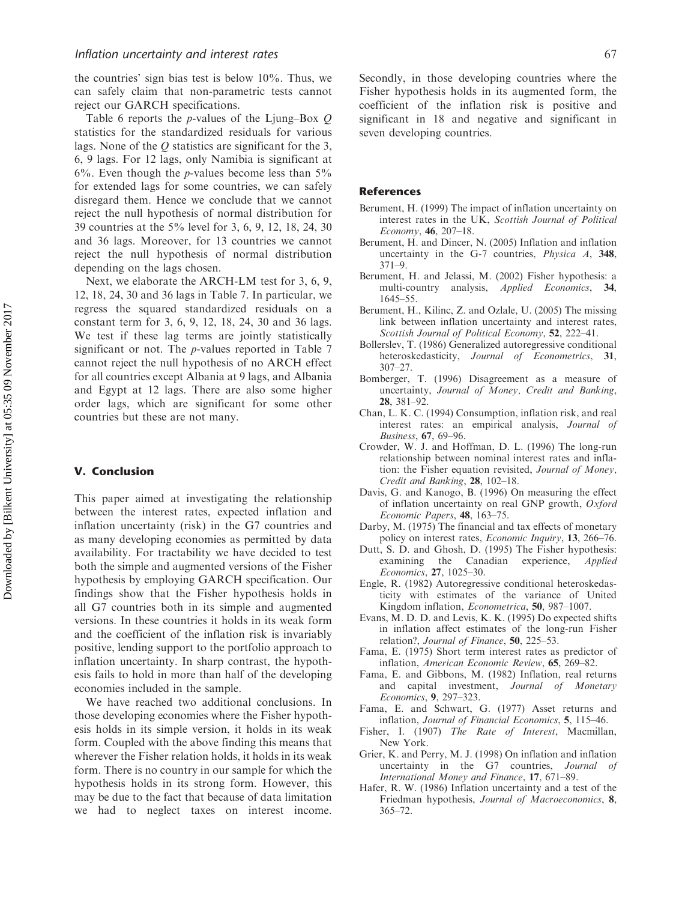the countries' sign bias test is below  $10\%$ . Thus, we can safely claim that non-parametric tests cannot reject our GARCH specifications.

Table 6 reports the *p*-values of the Ljung–Box  $Q$ statistics for the standardized residuals for various lags. None of the  $Q$  statistics are significant for the 3, 6, 9 lags. For 12 lags, only Namibia is significant at  $6\%$ . Even though the *p*-values become less than  $5\%$ for extended lags for some countries, we can safely disregard them. Hence we conclude that we cannot reject the null hypothesis of normal distribution for 39 countries at the 5% level for 3, 6, 9, 12, 18, 24, 30 and 36 lags. Moreover, for 13 countries we cannot reject the null hypothesis of normal distribution depending on the lags chosen.

Next, we elaborate the ARCH-LM test for 3, 6, 9, 12, 18, 24, 30 and 36 lags in Table 7. In particular, we regress the squared standardized residuals on a constant term for 3, 6, 9, 12, 18, 24, 30 and 36 lags. We test if these lag terms are jointly statistically significant or not. The p-values reported in Table 7 cannot reject the null hypothesis of no ARCH effect for all countries except Albania at 9 lags, and Albania and Egypt at 12 lags. There are also some higher order lags, which are significant for some other countries but these are not many.

## V. Conclusion

This paper aimed at investigating the relationship between the interest rates, expected inflation and inflation uncertainty (risk) in the G7 countries and as many developing economies as permitted by data availability. For tractability we have decided to test both the simple and augmented versions of the Fisher hypothesis by employing GARCH specification. Our findings show that the Fisher hypothesis holds in all G7 countries both in its simple and augmented versions. In these countries it holds in its weak form and the coefficient of the inflation risk is invariably positive, lending support to the portfolio approach to inflation uncertainty. In sharp contrast, the hypothesis fails to hold in more than half of the developing economies included in the sample.

We have reached two additional conclusions. In those developing economies where the Fisher hypothesis holds in its simple version, it holds in its weak form. Coupled with the above finding this means that wherever the Fisher relation holds, it holds in its weak form. There is no country in our sample for which the hypothesis holds in its strong form. However, this may be due to the fact that because of data limitation we had to neglect taxes on interest income.

Secondly, in those developing countries where the Fisher hypothesis holds in its augmented form, the coefficient of the inflation risk is positive and significant in 18 and negative and significant in seven developing countries.

## **References**

- Berument, H. (1999) The impact of inflation uncertainty on interest rates in the UK, Scottish Journal of Political Economy, 46, 207–18.
- Berument, H. and Dincer, N. (2005) Inflation and inflation uncertainty in the G-7 countries, Physica A, 348, 371–9.
- Berument, H. and Jelassi, M. (2002) Fisher hypothesis: a multi-country analysis, Applied Economics, 34, 1645–55.
- Berument, H., Kilinc, Z. and Ozlale, U. (2005) The missing link between inflation uncertainty and interest rates, Scottish Journal of Political Economy, 52, 222-41.
- Bollerslev, T. (1986) Generalized autoregressive conditional heteroskedasticity, Journal of Econometrics, 31, 307–27.
- Bomberger, T. (1996) Disagreement as a measure of uncertainty, Journal of Money, Credit and Banking, 28, 381–92.
- Chan, L. K. C. (1994) Consumption, inflation risk, and real interest rates: an empirical analysis, Journal of Business, 67, 69–96.
- Crowder, W. J. and Hoffman, D. L. (1996) The long-run relationship between nominal interest rates and inflation: the Fisher equation revisited, Journal of Money, Credit and Banking, 28, 102–18.
- Davis, G. and Kanogo, B. (1996) On measuring the effect of inflation uncertainty on real GNP growth, Oxford Economic Papers, 48, 163–75.
- Darby, M. (1975) The financial and tax effects of monetary policy on interest rates, Economic Inquiry, 13, 266–76.
- Dutt, S. D. and Ghosh, D. (1995) The Fisher hypothesis: examining the Canadian experience, Applied Economics, 27, 1025–30.
- Engle, R. (1982) Autoregressive conditional heteroskedasticity with estimates of the variance of United Kingdom inflation, Econometrica, 50, 987–1007.
- Evans, M. D. D. and Levis, K. K. (1995) Do expected shifts in inflation affect estimates of the long-run Fisher relation?, Journal of Finance, 50, 225-53.
- Fama, E. (1975) Short term interest rates as predictor of inflation, American Economic Review, 65, 269–82.
- Fama, E. and Gibbons, M. (1982) Inflation, real returns and capital investment, Journal of Monetary Economics, 9, 297–323.
- Fama, E. and Schwart, G. (1977) Asset returns and inflation, Journal of Financial Economics, 5, 115–46.
- Fisher, I. (1907) The Rate of Interest, Macmillan, New York.
- Grier, K. and Perry, M. J. (1998) On inflation and inflation uncertainty in the G7 countries, Journal of International Money and Finance, 17, 671–89.
- Hafer, R. W. (1986) Inflation uncertainty and a test of the Friedman hypothesis, Journal of Macroeconomics, 8, 365–72.